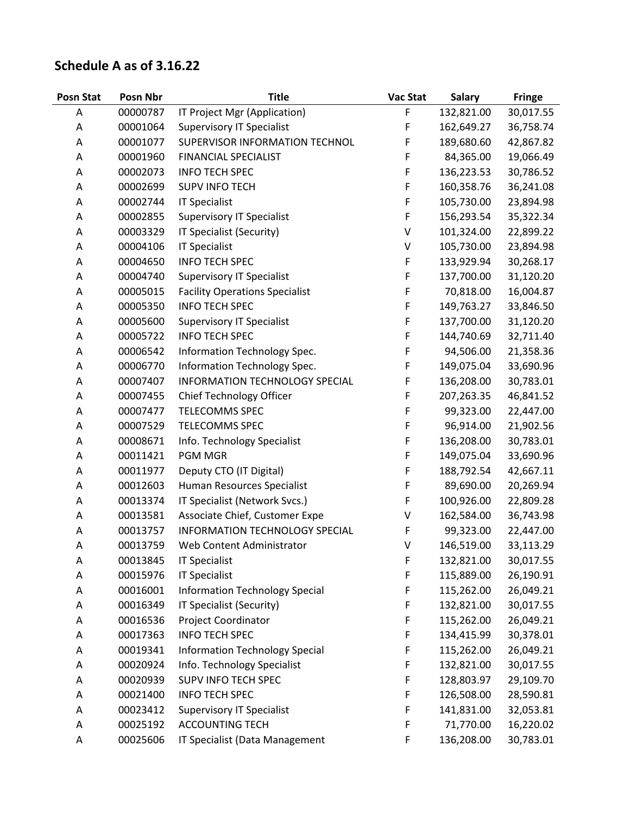## **Schedule A as of 3.16.22**

| <b>Posn Stat</b> | Posn Nbr | <b>Title</b>                          | Vac Stat | <b>Salary</b> | <b>Fringe</b> |
|------------------|----------|---------------------------------------|----------|---------------|---------------|
| Α                | 00000787 | IT Project Mgr (Application)          | F        | 132,821.00    | 30,017.55     |
| Α                | 00001064 | <b>Supervisory IT Specialist</b>      | F        | 162,649.27    | 36,758.74     |
| Α                | 00001077 | SUPERVISOR INFORMATION TECHNOL        | F        | 189,680.60    | 42,867.82     |
| Α                | 00001960 | FINANCIAL SPECIALIST                  | F        | 84,365.00     | 19,066.49     |
| Α                | 00002073 | <b>INFO TECH SPEC</b>                 | F        | 136,223.53    | 30,786.52     |
| Α                | 00002699 | <b>SUPV INFO TECH</b>                 | F        | 160,358.76    | 36,241.08     |
| Α                | 00002744 | <b>IT Specialist</b>                  | F        | 105,730.00    | 23,894.98     |
| Α                | 00002855 | <b>Supervisory IT Specialist</b>      | F        | 156,293.54    | 35,322.34     |
| Α                | 00003329 | IT Specialist (Security)              | V        | 101,324.00    | 22,899.22     |
| Α                | 00004106 | <b>IT Specialist</b>                  | V        | 105,730.00    | 23,894.98     |
| А                | 00004650 | <b>INFO TECH SPEC</b>                 | F        | 133,929.94    | 30,268.17     |
| Α                | 00004740 | <b>Supervisory IT Specialist</b>      | F        | 137,700.00    | 31,120.20     |
| Α                | 00005015 | <b>Facility Operations Specialist</b> | F        | 70,818.00     | 16,004.87     |
| Α                | 00005350 | <b>INFO TECH SPEC</b>                 | F        | 149,763.27    | 33,846.50     |
| Α                | 00005600 | <b>Supervisory IT Specialist</b>      | F        | 137,700.00    | 31,120.20     |
| A                | 00005722 | <b>INFO TECH SPEC</b>                 | F        | 144,740.69    | 32,711.40     |
| Α                | 00006542 | Information Technology Spec.          | F        | 94,506.00     | 21,358.36     |
| Α                | 00006770 | Information Technology Spec.          | F        | 149,075.04    | 33,690.96     |
| Α                | 00007407 | INFORMATION TECHNOLOGY SPECIAL        | F        | 136,208.00    | 30,783.01     |
| Α                | 00007455 | Chief Technology Officer              | F        | 207,263.35    | 46,841.52     |
| Α                | 00007477 | <b>TELECOMMS SPEC</b>                 | F        | 99,323.00     | 22,447.00     |
| Α                | 00007529 | TELECOMMS SPEC                        | F        | 96,914.00     | 21,902.56     |
| Α                | 00008671 | Info. Technology Specialist           | F        | 136,208.00    | 30,783.01     |
| Α                | 00011421 | <b>PGM MGR</b>                        | F        | 149,075.04    | 33,690.96     |
| Α                | 00011977 | Deputy CTO (IT Digital)               | F        | 188,792.54    | 42,667.11     |
| Α                | 00012603 | Human Resources Specialist            | F        | 89,690.00     | 20,269.94     |
| Α                | 00013374 | IT Specialist (Network Svcs.)         | F        | 100,926.00    | 22,809.28     |
| Α                | 00013581 | Associate Chief, Customer Expe        | V        | 162,584.00    | 36,743.98     |
| Α                | 00013757 | INFORMATION TECHNOLOGY SPECIAL        | F        | 99,323.00     | 22,447.00     |
| A                | 00013759 | Web Content Administrator             | V        | 146,519.00    | 33,113.29     |
| А                | 00013845 | <b>IT Specialist</b>                  | F        | 132,821.00    | 30,017.55     |
| Α                | 00015976 | <b>IT Specialist</b>                  | F        | 115,889.00    | 26,190.91     |
| Α                | 00016001 | <b>Information Technology Special</b> | F        | 115,262.00    | 26,049.21     |
| Α                | 00016349 | IT Specialist (Security)              | F        | 132,821.00    | 30,017.55     |
| Α                | 00016536 | Project Coordinator                   | F        | 115,262.00    | 26,049.21     |
| Α                | 00017363 | <b>INFO TECH SPEC</b>                 | F        | 134,415.99    | 30,378.01     |
| Α                | 00019341 | Information Technology Special        | F        | 115,262.00    | 26,049.21     |
| Α                | 00020924 | Info. Technology Specialist           | F        | 132,821.00    | 30,017.55     |
| Α                | 00020939 | SUPV INFO TECH SPEC                   | F        | 128,803.97    | 29,109.70     |
| Α                | 00021400 | <b>INFO TECH SPEC</b>                 | F        | 126,508.00    | 28,590.81     |
| Α                | 00023412 | <b>Supervisory IT Specialist</b>      | F        | 141,831.00    | 32,053.81     |
| Α                | 00025192 | <b>ACCOUNTING TECH</b>                | F        | 71,770.00     | 16,220.02     |
| Α                | 00025606 | IT Specialist (Data Management        | F        | 136,208.00    | 30,783.01     |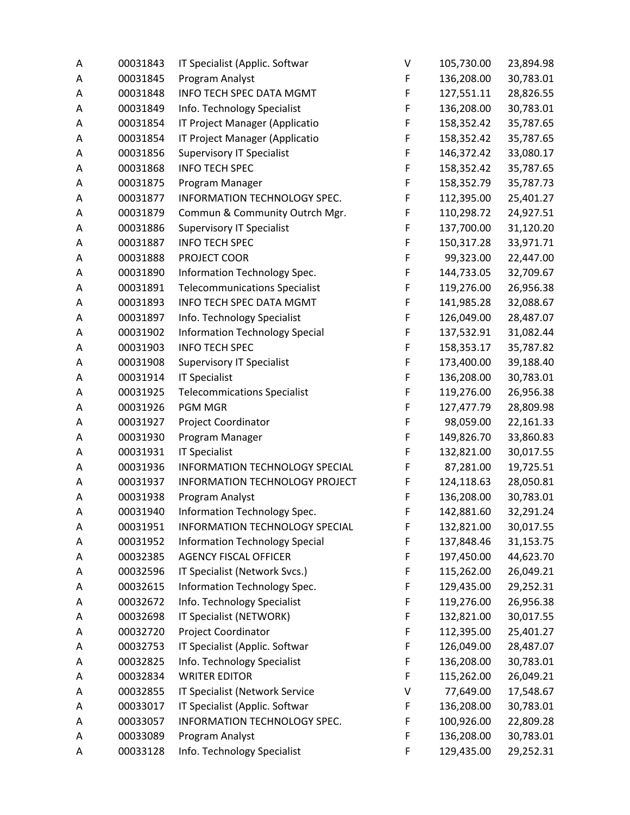| Α | 00031843 | IT Specialist (Applic. Softwar        | V | 105,730.00 | 23,894.98 |
|---|----------|---------------------------------------|---|------------|-----------|
| Α | 00031845 | Program Analyst                       | F | 136,208.00 | 30,783.01 |
| Α | 00031848 | <b>INFO TECH SPEC DATA MGMT</b>       | F | 127,551.11 | 28,826.55 |
| Α | 00031849 | Info. Technology Specialist           | F | 136,208.00 | 30,783.01 |
| А | 00031854 | IT Project Manager (Applicatio        | F | 158,352.42 | 35,787.65 |
| Α | 00031854 | IT Project Manager (Applicatio        | F | 158,352.42 | 35,787.65 |
| Α | 00031856 | <b>Supervisory IT Specialist</b>      | F | 146,372.42 | 33,080.17 |
| Α | 00031868 | <b>INFO TECH SPEC</b>                 | F | 158,352.42 | 35,787.65 |
| Α | 00031875 | Program Manager                       | F | 158,352.79 | 35,787.73 |
| Α | 00031877 | INFORMATION TECHNOLOGY SPEC.          | F | 112,395.00 | 25,401.27 |
| Α | 00031879 | Commun & Community Outrch Mgr.        | F | 110,298.72 | 24,927.51 |
| А | 00031886 | <b>Supervisory IT Specialist</b>      | F | 137,700.00 | 31,120.20 |
| Α | 00031887 | <b>INFO TECH SPEC</b>                 | F | 150,317.28 | 33,971.71 |
| Α | 00031888 | PROJECT COOR                          | F | 99,323.00  | 22,447.00 |
| Α | 00031890 | Information Technology Spec.          | F | 144,733.05 | 32,709.67 |
| Α | 00031891 | <b>Telecommunications Specialist</b>  | F | 119,276.00 | 26,956.38 |
| Α | 00031893 | <b>INFO TECH SPEC DATA MGMT</b>       | F | 141,985.28 | 32,088.67 |
| Α | 00031897 | Info. Technology Specialist           | F | 126,049.00 | 28,487.07 |
| Α | 00031902 | <b>Information Technology Special</b> | F | 137,532.91 | 31,082.44 |
| Α | 00031903 | <b>INFO TECH SPEC</b>                 | F | 158,353.17 | 35,787.82 |
| Α | 00031908 | <b>Supervisory IT Specialist</b>      | F | 173,400.00 | 39,188.40 |
| Α | 00031914 | <b>IT Specialist</b>                  | F | 136,208.00 | 30,783.01 |
| Α | 00031925 | <b>Telecommications Specialist</b>    | F | 119,276.00 | 26,956.38 |
| А | 00031926 | <b>PGM MGR</b>                        | F | 127,477.79 | 28,809.98 |
| А | 00031927 | Project Coordinator                   | F | 98,059.00  | 22,161.33 |
| А | 00031930 | Program Manager                       | F | 149,826.70 | 33,860.83 |
| Α | 00031931 | <b>IT Specialist</b>                  | F | 132,821.00 | 30,017.55 |
| Α | 00031936 | INFORMATION TECHNOLOGY SPECIAL        | F | 87,281.00  | 19,725.51 |
| Α | 00031937 | INFORMATION TECHNOLOGY PROJECT        | F | 124,118.63 | 28,050.81 |
| Α | 00031938 | Program Analyst                       | F | 136,208.00 | 30,783.01 |
| A | 00031940 | Information Technology Spec.          | F | 142,881.60 | 32,291.24 |
| Α | 00031951 | INFORMATION TECHNOLOGY SPECIAL        | F | 132,821.00 | 30,017.55 |
| Α | 00031952 | <b>Information Technology Special</b> | F | 137,848.46 | 31,153.75 |
| А | 00032385 | <b>AGENCY FISCAL OFFICER</b>          | F | 197,450.00 | 44,623.70 |
| Α | 00032596 | IT Specialist (Network Svcs.)         | F | 115,262.00 | 26,049.21 |
| Α | 00032615 | Information Technology Spec.          | F | 129,435.00 | 29,252.31 |
| Α | 00032672 | Info. Technology Specialist           | F | 119,276.00 | 26,956.38 |
| Α | 00032698 | IT Specialist (NETWORK)               | F | 132,821.00 | 30,017.55 |
| Α | 00032720 | Project Coordinator                   | F | 112,395.00 | 25,401.27 |
| Α | 00032753 | IT Specialist (Applic. Softwar        | F | 126,049.00 | 28,487.07 |
| Α | 00032825 | Info. Technology Specialist           | F | 136,208.00 | 30,783.01 |
| Α | 00032834 | <b>WRITER EDITOR</b>                  | F | 115,262.00 | 26,049.21 |
| А | 00032855 | IT Specialist (Network Service        | V | 77,649.00  | 17,548.67 |
| Α | 00033017 | IT Specialist (Applic. Softwar        | F | 136,208.00 | 30,783.01 |
| Α | 00033057 | INFORMATION TECHNOLOGY SPEC.          | F | 100,926.00 | 22,809.28 |
| Α | 00033089 | Program Analyst                       | F | 136,208.00 | 30,783.01 |
| Α | 00033128 | Info. Technology Specialist           | F | 129,435.00 | 29,252.31 |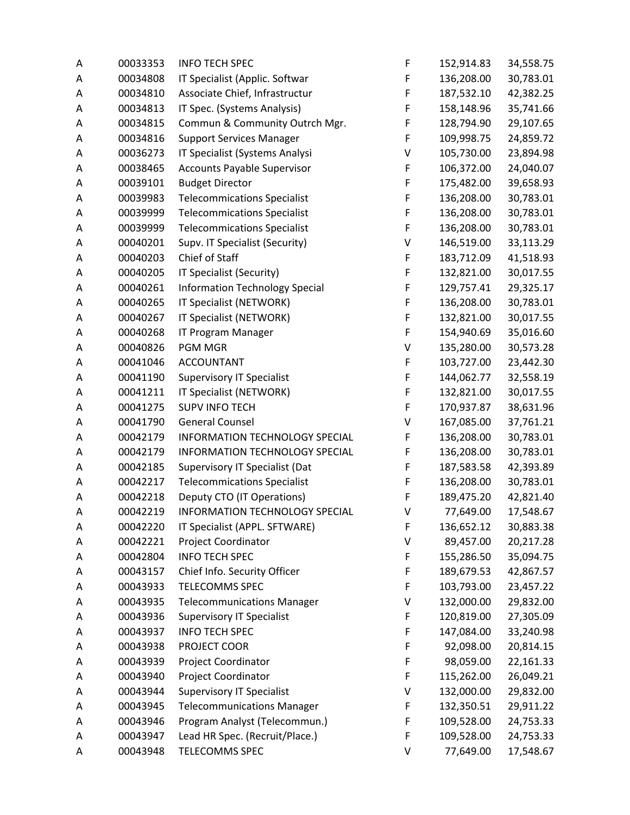| Α | 00033353 | <b>INFO TECH SPEC</b>                 | F | 152,914.83 | 34,558.75 |
|---|----------|---------------------------------------|---|------------|-----------|
| Α | 00034808 | IT Specialist (Applic. Softwar        | F | 136,208.00 | 30,783.01 |
| А | 00034810 | Associate Chief, Infrastructur        | F | 187,532.10 | 42,382.25 |
| Α | 00034813 | IT Spec. (Systems Analysis)           | F | 158,148.96 | 35,741.66 |
| А | 00034815 | Commun & Community Outrch Mgr.        | F | 128,794.90 | 29,107.65 |
| Α | 00034816 | <b>Support Services Manager</b>       | F | 109,998.75 | 24,859.72 |
| А | 00036273 | IT Specialist (Systems Analysi        | V | 105,730.00 | 23,894.98 |
| Α | 00038465 | <b>Accounts Payable Supervisor</b>    | F | 106,372.00 | 24,040.07 |
| Α | 00039101 | <b>Budget Director</b>                | F | 175,482.00 | 39,658.93 |
| Α | 00039983 | <b>Telecommications Specialist</b>    | F | 136,208.00 | 30,783.01 |
| Α | 00039999 | <b>Telecommications Specialist</b>    | F | 136,208.00 | 30,783.01 |
| Α | 00039999 | <b>Telecommications Specialist</b>    | F | 136,208.00 | 30,783.01 |
| Α | 00040201 | Supv. IT Specialist (Security)        | V | 146,519.00 | 33,113.29 |
| Α | 00040203 | Chief of Staff                        | F | 183,712.09 | 41,518.93 |
| Α | 00040205 | IT Specialist (Security)              | F | 132,821.00 | 30,017.55 |
| Α | 00040261 | <b>Information Technology Special</b> | F | 129,757.41 | 29,325.17 |
| Α | 00040265 | IT Specialist (NETWORK)               | F | 136,208.00 | 30,783.01 |
| Α | 00040267 | IT Specialist (NETWORK)               | F | 132,821.00 | 30,017.55 |
| А | 00040268 | IT Program Manager                    | F | 154,940.69 | 35,016.60 |
| Α | 00040826 | <b>PGM MGR</b>                        | V | 135,280.00 | 30,573.28 |
| Α | 00041046 | <b>ACCOUNTANT</b>                     | F | 103,727.00 | 23,442.30 |
| Α | 00041190 | <b>Supervisory IT Specialist</b>      | F | 144,062.77 | 32,558.19 |
| Α | 00041211 | IT Specialist (NETWORK)               | F | 132,821.00 | 30,017.55 |
| А | 00041275 | <b>SUPV INFO TECH</b>                 | F | 170,937.87 | 38,631.96 |
| Α | 00041790 | <b>General Counsel</b>                | V | 167,085.00 | 37,761.21 |
| Α | 00042179 | <b>INFORMATION TECHNOLOGY SPECIAL</b> | F | 136,208.00 | 30,783.01 |
| Α | 00042179 | INFORMATION TECHNOLOGY SPECIAL        | F | 136,208.00 | 30,783.01 |
| Α | 00042185 | Supervisory IT Specialist (Dat        | F | 187,583.58 | 42,393.89 |
| Α | 00042217 | <b>Telecommications Specialist</b>    | F | 136,208.00 | 30,783.01 |
| Α | 00042218 | Deputy CTO (IT Operations)            | F | 189,475.20 | 42,821.40 |
| A | 00042219 | INFORMATION TECHNOLOGY SPECIAL        | V | 77,649.00  | 17,548.67 |
| Α | 00042220 | IT Specialist (APPL. SFTWARE)         | F | 136,652.12 | 30,883.38 |
| Α | 00042221 | Project Coordinator                   | V | 89,457.00  | 20,217.28 |
| Α | 00042804 | <b>INFO TECH SPEC</b>                 | F | 155,286.50 | 35,094.75 |
| Α | 00043157 | Chief Info. Security Officer          | F | 189,679.53 | 42,867.57 |
| Α | 00043933 | TELECOMMS SPEC                        | F | 103,793.00 | 23,457.22 |
| Α | 00043935 | <b>Telecommunications Manager</b>     | V | 132,000.00 | 29,832.00 |
| Α | 00043936 | <b>Supervisory IT Specialist</b>      | F | 120,819.00 | 27,305.09 |
| Α | 00043937 | <b>INFO TECH SPEC</b>                 | F | 147,084.00 | 33,240.98 |
| Α | 00043938 | PROJECT COOR                          | F | 92,098.00  | 20,814.15 |
| Α | 00043939 | Project Coordinator                   | F | 98,059.00  | 22,161.33 |
| Α | 00043940 | Project Coordinator                   | F | 115,262.00 | 26,049.21 |
| Α | 00043944 | <b>Supervisory IT Specialist</b>      | V | 132,000.00 | 29,832.00 |
| Α | 00043945 | <b>Telecommunications Manager</b>     | F | 132,350.51 | 29,911.22 |
| Α | 00043946 | Program Analyst (Telecommun.)         | F | 109,528.00 | 24,753.33 |
| Α | 00043947 | Lead HR Spec. (Recruit/Place.)        | F | 109,528.00 | 24,753.33 |
| Α | 00043948 | TELECOMMS SPEC                        | V | 77,649.00  | 17,548.67 |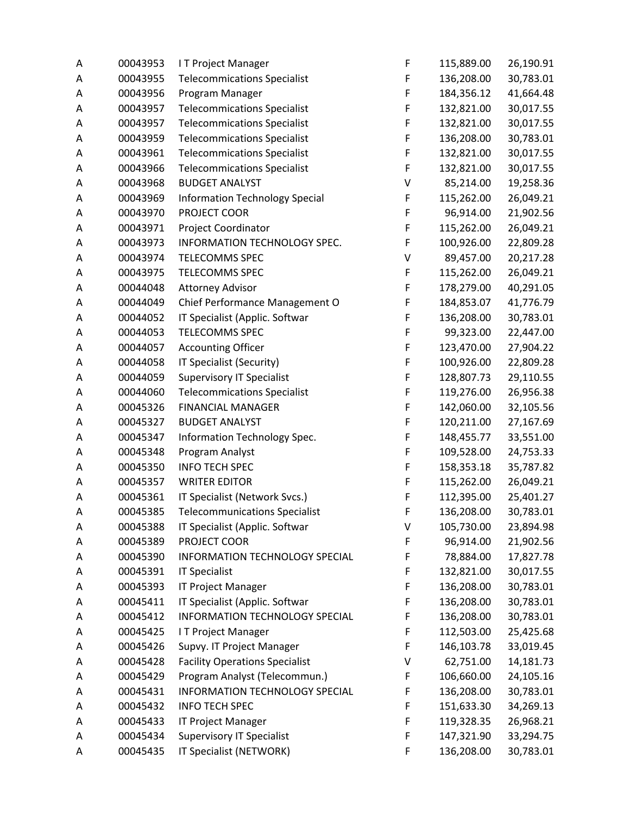| Α | 00043953 | IT Project Manager                    | F | 115,889.00 | 26,190.91 |
|---|----------|---------------------------------------|---|------------|-----------|
| Α | 00043955 | <b>Telecommications Specialist</b>    | F | 136,208.00 | 30,783.01 |
| Α | 00043956 | Program Manager                       | F | 184,356.12 | 41,664.48 |
| Α | 00043957 | <b>Telecommications Specialist</b>    | F | 132,821.00 | 30,017.55 |
| А | 00043957 | <b>Telecommications Specialist</b>    | F | 132,821.00 | 30,017.55 |
| Α | 00043959 | <b>Telecommications Specialist</b>    | F | 136,208.00 | 30,783.01 |
| Α | 00043961 | <b>Telecommications Specialist</b>    | F | 132,821.00 | 30,017.55 |
| Α | 00043966 | <b>Telecommications Specialist</b>    | F | 132,821.00 | 30,017.55 |
| Α | 00043968 | <b>BUDGET ANALYST</b>                 | V | 85,214.00  | 19,258.36 |
| Α | 00043969 | <b>Information Technology Special</b> | F | 115,262.00 | 26,049.21 |
| Α | 00043970 | PROJECT COOR                          | F | 96,914.00  | 21,902.56 |
| Α | 00043971 | Project Coordinator                   | F | 115,262.00 | 26,049.21 |
| Α | 00043973 | INFORMATION TECHNOLOGY SPEC.          | F | 100,926.00 | 22,809.28 |
| Α | 00043974 | <b>TELECOMMS SPEC</b>                 | V | 89,457.00  | 20,217.28 |
| Α | 00043975 | TELECOMMS SPEC                        | F | 115,262.00 | 26,049.21 |
| Α | 00044048 | <b>Attorney Advisor</b>               | F | 178,279.00 | 40,291.05 |
| А | 00044049 | Chief Performance Management O        | F | 184,853.07 | 41,776.79 |
| Α | 00044052 | IT Specialist (Applic. Softwar        | F | 136,208.00 | 30,783.01 |
| Α | 00044053 | <b>TELECOMMS SPEC</b>                 | F | 99,323.00  | 22,447.00 |
| Α | 00044057 | <b>Accounting Officer</b>             | F | 123,470.00 | 27,904.22 |
| Α | 00044058 | IT Specialist (Security)              | F | 100,926.00 | 22,809.28 |
| А | 00044059 | <b>Supervisory IT Specialist</b>      | F | 128,807.73 | 29,110.55 |
| Α | 00044060 | <b>Telecommications Specialist</b>    | F | 119,276.00 | 26,956.38 |
| A | 00045326 | <b>FINANCIAL MANAGER</b>              | F | 142,060.00 | 32,105.56 |
| Α | 00045327 | <b>BUDGET ANALYST</b>                 | F | 120,211.00 | 27,167.69 |
| Α | 00045347 | Information Technology Spec.          | F | 148,455.77 | 33,551.00 |
| Α | 00045348 | Program Analyst                       | F | 109,528.00 | 24,753.33 |
| Α | 00045350 | <b>INFO TECH SPEC</b>                 | F | 158,353.18 | 35,787.82 |
| Α | 00045357 | <b>WRITER EDITOR</b>                  | F | 115,262.00 | 26,049.21 |
| Α | 00045361 | IT Specialist (Network Svcs.)         | F | 112,395.00 | 25,401.27 |
| А | 00045385 | <b>Telecommunications Specialist</b>  | F | 136,208.00 | 30,783.01 |
| Α | 00045388 | IT Specialist (Applic. Softwar        | V | 105,730.00 | 23,894.98 |
| Α | 00045389 | PROJECT COOR                          | F | 96,914.00  | 21,902.56 |
| А | 00045390 | INFORMATION TECHNOLOGY SPECIAL        | F | 78,884.00  | 17,827.78 |
| Α | 00045391 | <b>IT Specialist</b>                  | F | 132,821.00 | 30,017.55 |
| А | 00045393 | IT Project Manager                    | F | 136,208.00 | 30,783.01 |
| А | 00045411 | IT Specialist (Applic. Softwar        | F | 136,208.00 | 30,783.01 |
| Α | 00045412 | INFORMATION TECHNOLOGY SPECIAL        | F | 136,208.00 | 30,783.01 |
| Α | 00045425 | IT Project Manager                    | F | 112,503.00 | 25,425.68 |
| Α | 00045426 | Supvy. IT Project Manager             | F | 146,103.78 | 33,019.45 |
| Α | 00045428 | <b>Facility Operations Specialist</b> | V | 62,751.00  | 14,181.73 |
| А | 00045429 | Program Analyst (Telecommun.)         | F | 106,660.00 | 24,105.16 |
| А | 00045431 | INFORMATION TECHNOLOGY SPECIAL        | F | 136,208.00 | 30,783.01 |
| Α | 00045432 | <b>INFO TECH SPEC</b>                 | F | 151,633.30 | 34,269.13 |
| Α | 00045433 | <b>IT Project Manager</b>             | F | 119,328.35 | 26,968.21 |
| Α | 00045434 | <b>Supervisory IT Specialist</b>      | F | 147,321.90 | 33,294.75 |
| Α | 00045435 | IT Specialist (NETWORK)               | F | 136,208.00 | 30,783.01 |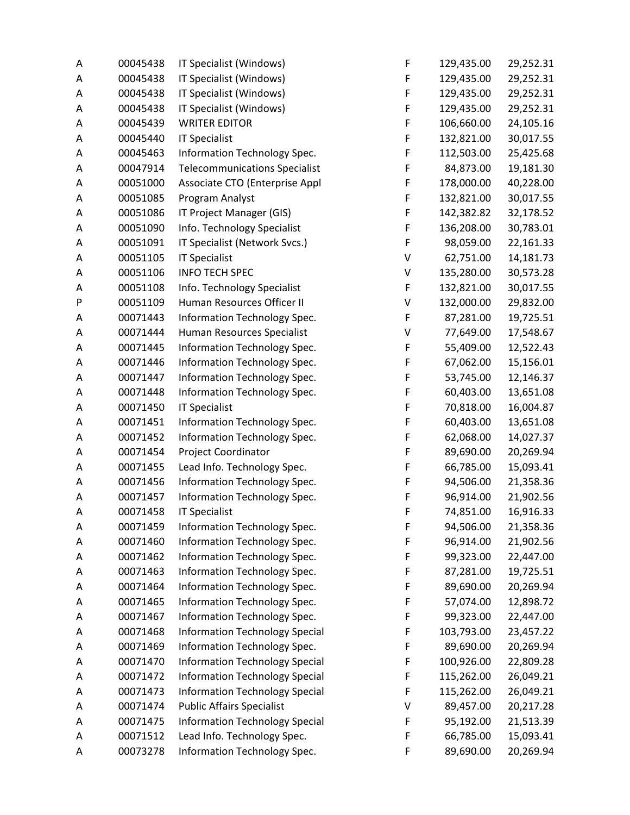| Α | 00045438 | IT Specialist (Windows)               | F           | 129,435.00 | 29,252.31 |
|---|----------|---------------------------------------|-------------|------------|-----------|
| Α | 00045438 | IT Specialist (Windows)               | F           | 129,435.00 | 29,252.31 |
| Α | 00045438 | IT Specialist (Windows)               | F           | 129,435.00 | 29,252.31 |
| Α | 00045438 | IT Specialist (Windows)               | F           | 129,435.00 | 29,252.31 |
| А | 00045439 | <b>WRITER EDITOR</b>                  | F           | 106,660.00 | 24,105.16 |
| Α | 00045440 | <b>IT Specialist</b>                  | $\mathsf F$ | 132,821.00 | 30,017.55 |
| Α | 00045463 | Information Technology Spec.          | F           | 112,503.00 | 25,425.68 |
| Α | 00047914 | <b>Telecommunications Specialist</b>  | F           | 84,873.00  | 19,181.30 |
| Α | 00051000 | Associate CTO (Enterprise Appl        | F           | 178,000.00 | 40,228.00 |
| Α | 00051085 | Program Analyst                       | F           | 132,821.00 | 30,017.55 |
| Α | 00051086 | IT Project Manager (GIS)              | F           | 142,382.82 | 32,178.52 |
| А | 00051090 | Info. Technology Specialist           | F           | 136,208.00 | 30,783.01 |
| Α | 00051091 | IT Specialist (Network Svcs.)         | F           | 98,059.00  | 22,161.33 |
| Α | 00051105 | <b>IT Specialist</b>                  | V           | 62,751.00  | 14,181.73 |
| Α | 00051106 | <b>INFO TECH SPEC</b>                 | V           | 135,280.00 | 30,573.28 |
| Α | 00051108 | Info. Technology Specialist           | F           | 132,821.00 | 30,017.55 |
| P | 00051109 | Human Resources Officer II            | V           | 132,000.00 | 29,832.00 |
| Α | 00071443 | Information Technology Spec.          | F           | 87,281.00  | 19,725.51 |
| Α | 00071444 | Human Resources Specialist            | V           | 77,649.00  | 17,548.67 |
| Α | 00071445 | Information Technology Spec.          | F           | 55,409.00  | 12,522.43 |
| Α | 00071446 | Information Technology Spec.          | F           | 67,062.00  | 15,156.01 |
| Α | 00071447 | Information Technology Spec.          | F           | 53,745.00  | 12,146.37 |
| Α | 00071448 | Information Technology Spec.          | F           | 60,403.00  | 13,651.08 |
| Α | 00071450 | <b>IT Specialist</b>                  | F           | 70,818.00  | 16,004.87 |
| Α | 00071451 | Information Technology Spec.          | F           | 60,403.00  | 13,651.08 |
| Α | 00071452 | Information Technology Spec.          | F           | 62,068.00  | 14,027.37 |
| Α | 00071454 | Project Coordinator                   | F           | 89,690.00  | 20,269.94 |
| Α | 00071455 | Lead Info. Technology Spec.           | F           | 66,785.00  | 15,093.41 |
| Α | 00071456 | Information Technology Spec.          | F           | 94,506.00  | 21,358.36 |
| Α | 00071457 | Information Technology Spec.          | F           | 96,914.00  | 21,902.56 |
| Α | 00071458 | <b>IT Specialist</b>                  | F           | 74,851.00  | 16,916.33 |
| Α | 00071459 | Information Technology Spec.          | F           | 94,506.00  | 21,358.36 |
| Α | 00071460 | Information Technology Spec.          | F           | 96,914.00  | 21,902.56 |
| Α | 00071462 | Information Technology Spec.          | F           | 99,323.00  | 22,447.00 |
| Α | 00071463 | Information Technology Spec.          | F           | 87,281.00  | 19,725.51 |
| А | 00071464 | Information Technology Spec.          | F           | 89,690.00  | 20,269.94 |
| Α | 00071465 | Information Technology Spec.          | F           | 57,074.00  | 12,898.72 |
| Α | 00071467 | Information Technology Spec.          | F           | 99,323.00  | 22,447.00 |
| Α | 00071468 | <b>Information Technology Special</b> | F           | 103,793.00 | 23,457.22 |
| Α | 00071469 | Information Technology Spec.          | F           | 89,690.00  | 20,269.94 |
| А | 00071470 | <b>Information Technology Special</b> | F           | 100,926.00 | 22,809.28 |
| А | 00071472 | <b>Information Technology Special</b> | F           | 115,262.00 | 26,049.21 |
| А | 00071473 | <b>Information Technology Special</b> | F           | 115,262.00 | 26,049.21 |
| Α | 00071474 | <b>Public Affairs Specialist</b>      | V           | 89,457.00  | 20,217.28 |
| Α | 00071475 | <b>Information Technology Special</b> | F           | 95,192.00  | 21,513.39 |
| Α | 00071512 | Lead Info. Technology Spec.           | F           | 66,785.00  | 15,093.41 |
| Α | 00073278 | Information Technology Spec.          | F           | 89,690.00  | 20,269.94 |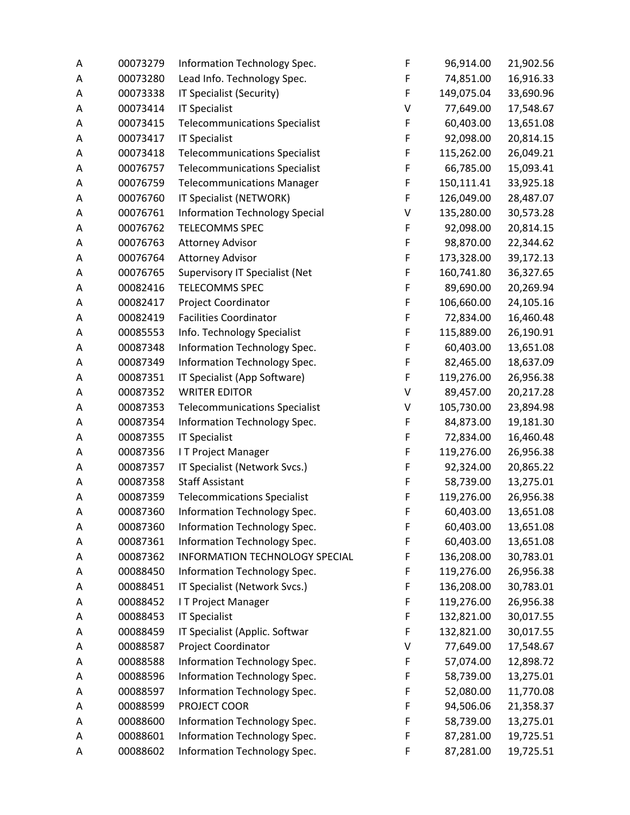| Α | 00073279 | Information Technology Spec.          | F | 96,914.00  | 21,902.56 |
|---|----------|---------------------------------------|---|------------|-----------|
| Α | 00073280 | Lead Info. Technology Spec.           | F | 74,851.00  | 16,916.33 |
| Α | 00073338 | IT Specialist (Security)              | F | 149,075.04 | 33,690.96 |
| Α | 00073414 | <b>IT Specialist</b>                  | V | 77,649.00  | 17,548.67 |
| Α | 00073415 | <b>Telecommunications Specialist</b>  | F | 60,403.00  | 13,651.08 |
| Α | 00073417 | <b>IT Specialist</b>                  | F | 92,098.00  | 20,814.15 |
| Α | 00073418 | <b>Telecommunications Specialist</b>  | F | 115,262.00 | 26,049.21 |
| Α | 00076757 | <b>Telecommunications Specialist</b>  | F | 66,785.00  | 15,093.41 |
| Α | 00076759 | <b>Telecommunications Manager</b>     | F | 150,111.41 | 33,925.18 |
| Α | 00076760 | IT Specialist (NETWORK)               | F | 126,049.00 | 28,487.07 |
| Α | 00076761 | <b>Information Technology Special</b> | V | 135,280.00 | 30,573.28 |
| А | 00076762 | TELECOMMS SPEC                        | F | 92,098.00  | 20,814.15 |
| Α | 00076763 | <b>Attorney Advisor</b>               | F | 98,870.00  | 22,344.62 |
| Α | 00076764 | <b>Attorney Advisor</b>               | F | 173,328.00 | 39,172.13 |
| Α | 00076765 | Supervisory IT Specialist (Net        | F | 160,741.80 | 36,327.65 |
| Α | 00082416 | TELECOMMS SPEC                        | F | 89,690.00  | 20,269.94 |
| Α | 00082417 | Project Coordinator                   | F | 106,660.00 | 24,105.16 |
| Α | 00082419 | <b>Facilities Coordinator</b>         | F | 72,834.00  | 16,460.48 |
| Α | 00085553 | Info. Technology Specialist           | F | 115,889.00 | 26,190.91 |
| Α | 00087348 | Information Technology Spec.          | F | 60,403.00  | 13,651.08 |
| Α | 00087349 | Information Technology Spec.          | F | 82,465.00  | 18,637.09 |
| Α | 00087351 | IT Specialist (App Software)          | F | 119,276.00 | 26,956.38 |
| Α | 00087352 | <b>WRITER EDITOR</b>                  | V | 89,457.00  | 20,217.28 |
| Α | 00087353 | <b>Telecommunications Specialist</b>  | V | 105,730.00 | 23,894.98 |
| Α | 00087354 | Information Technology Spec.          | F | 84,873.00  | 19,181.30 |
| Α | 00087355 | <b>IT Specialist</b>                  | F | 72,834.00  | 16,460.48 |
| Α | 00087356 | IT Project Manager                    | F | 119,276.00 | 26,956.38 |
| Α | 00087357 | IT Specialist (Network Svcs.)         | F | 92,324.00  | 20,865.22 |
| Α | 00087358 | <b>Staff Assistant</b>                | F | 58,739.00  | 13,275.01 |
| Α | 00087359 | <b>Telecommications Specialist</b>    | F | 119,276.00 | 26,956.38 |
| Α | 00087360 | Information Technology Spec.          | F | 60,403.00  | 13,651.08 |
| Α | 00087360 | Information Technology Spec.          | F | 60,403.00  | 13,651.08 |
| Α | 00087361 | Information Technology Spec.          | F | 60,403.00  | 13,651.08 |
| А | 00087362 | INFORMATION TECHNOLOGY SPECIAL        | F | 136,208.00 | 30,783.01 |
| Α | 00088450 | Information Technology Spec.          | F | 119,276.00 | 26,956.38 |
| А | 00088451 | IT Specialist (Network Svcs.)         | F | 136,208.00 | 30,783.01 |
| Α | 00088452 | IT Project Manager                    | F | 119,276.00 | 26,956.38 |
| Α | 00088453 | <b>IT Specialist</b>                  | F | 132,821.00 | 30,017.55 |
| Α | 00088459 | IT Specialist (Applic. Softwar        | F | 132,821.00 | 30,017.55 |
| Α | 00088587 | Project Coordinator                   | V | 77,649.00  | 17,548.67 |
| Α | 00088588 | Information Technology Spec.          | F | 57,074.00  | 12,898.72 |
| А | 00088596 | Information Technology Spec.          | F | 58,739.00  | 13,275.01 |
| А | 00088597 | Information Technology Spec.          | F | 52,080.00  | 11,770.08 |
| Α | 00088599 | PROJECT COOR                          | F | 94,506.06  | 21,358.37 |
| Α | 00088600 | Information Technology Spec.          | F | 58,739.00  | 13,275.01 |
| А | 00088601 | Information Technology Spec.          | F | 87,281.00  | 19,725.51 |
| Α | 00088602 | Information Technology Spec.          | F | 87,281.00  | 19,725.51 |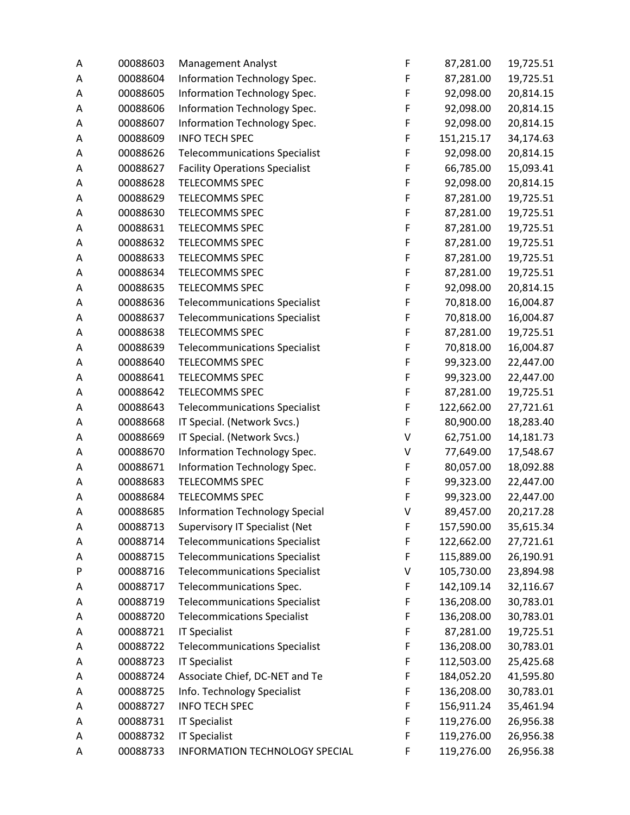| Α | 00088603 | <b>Management Analyst</b>             | F | 87,281.00  | 19,725.51 |
|---|----------|---------------------------------------|---|------------|-----------|
| Α | 00088604 | Information Technology Spec.          | F | 87,281.00  | 19,725.51 |
| Α | 00088605 | Information Technology Spec.          | F | 92,098.00  | 20,814.15 |
| Α | 00088606 | Information Technology Spec.          | F | 92,098.00  | 20,814.15 |
| Α | 00088607 | Information Technology Spec.          | F | 92,098.00  | 20,814.15 |
| А | 00088609 | <b>INFO TECH SPEC</b>                 | F | 151,215.17 | 34,174.63 |
| Α | 00088626 | <b>Telecommunications Specialist</b>  | F | 92,098.00  | 20,814.15 |
| Α | 00088627 | <b>Facility Operations Specialist</b> | F | 66,785.00  | 15,093.41 |
| Α | 00088628 | TELECOMMS SPEC                        | F | 92,098.00  | 20,814.15 |
| Α | 00088629 | <b>TELECOMMS SPEC</b>                 | F | 87,281.00  | 19,725.51 |
| Α | 00088630 | <b>TELECOMMS SPEC</b>                 | F | 87,281.00  | 19,725.51 |
| Α | 00088631 | <b>TELECOMMS SPEC</b>                 | F | 87,281.00  | 19,725.51 |
| Α | 00088632 | <b>TELECOMMS SPEC</b>                 | F | 87,281.00  | 19,725.51 |
| Α | 00088633 | TELECOMMS SPEC                        | F | 87,281.00  | 19,725.51 |
| Α | 00088634 | TELECOMMS SPEC                        | F | 87,281.00  | 19,725.51 |
| Α | 00088635 | TELECOMMS SPEC                        | F | 92,098.00  | 20,814.15 |
| Α | 00088636 | <b>Telecommunications Specialist</b>  | F | 70,818.00  | 16,004.87 |
| Α | 00088637 | <b>Telecommunications Specialist</b>  | F | 70,818.00  | 16,004.87 |
| Α | 00088638 | <b>TELECOMMS SPEC</b>                 | F | 87,281.00  | 19,725.51 |
| Α | 00088639 | <b>Telecommunications Specialist</b>  | F | 70,818.00  | 16,004.87 |
| Α | 00088640 | <b>TELECOMMS SPEC</b>                 | F | 99,323.00  | 22,447.00 |
| Α | 00088641 | <b>TELECOMMS SPEC</b>                 | F | 99,323.00  | 22,447.00 |
| Α | 00088642 | <b>TELECOMMS SPEC</b>                 | F | 87,281.00  | 19,725.51 |
| Α | 00088643 | <b>Telecommunications Specialist</b>  | F | 122,662.00 | 27,721.61 |
| А | 00088668 | IT Special. (Network Svcs.)           | F | 80,900.00  | 18,283.40 |
| A | 00088669 | IT Special. (Network Svcs.)           | V | 62,751.00  | 14,181.73 |
| Α | 00088670 | Information Technology Spec.          | V | 77,649.00  | 17,548.67 |
| Α | 00088671 | Information Technology Spec.          | F | 80,057.00  | 18,092.88 |
| Α | 00088683 | <b>TELECOMMS SPEC</b>                 | F | 99,323.00  | 22,447.00 |
| Α | 00088684 | <b>TELECOMMS SPEC</b>                 | F | 99,323.00  | 22,447.00 |
| A | 00088685 | <b>Information Technology Special</b> | V | 89,457.00  | 20,217.28 |
| Α | 00088713 | Supervisory IT Specialist (Net        | F | 157,590.00 | 35,615.34 |
| Α | 00088714 | <b>Telecommunications Specialist</b>  | F | 122,662.00 | 27,721.61 |
| А | 00088715 | <b>Telecommunications Specialist</b>  | F | 115,889.00 | 26,190.91 |
| P | 00088716 | <b>Telecommunications Specialist</b>  | V | 105,730.00 | 23,894.98 |
| А | 00088717 | Telecommunications Spec.              | F | 142,109.14 | 32,116.67 |
| Α | 00088719 | <b>Telecommunications Specialist</b>  | F | 136,208.00 | 30,783.01 |
| А | 00088720 | <b>Telecommications Specialist</b>    | F | 136,208.00 | 30,783.01 |
| Α | 00088721 | <b>IT Specialist</b>                  | F | 87,281.00  | 19,725.51 |
| Α | 00088722 | <b>Telecommunications Specialist</b>  | F | 136,208.00 | 30,783.01 |
| Α | 00088723 | <b>IT Specialist</b>                  | F | 112,503.00 | 25,425.68 |
| Α | 00088724 | Associate Chief, DC-NET and Te        | F | 184,052.20 | 41,595.80 |
| Α | 00088725 | Info. Technology Specialist           | F | 136,208.00 | 30,783.01 |
| Α | 00088727 | <b>INFO TECH SPEC</b>                 | F | 156,911.24 | 35,461.94 |
| Α | 00088731 | <b>IT Specialist</b>                  | F | 119,276.00 | 26,956.38 |
| Α | 00088732 | <b>IT Specialist</b>                  | F | 119,276.00 | 26,956.38 |
| Α | 00088733 | INFORMATION TECHNOLOGY SPECIAL        | F | 119,276.00 | 26,956.38 |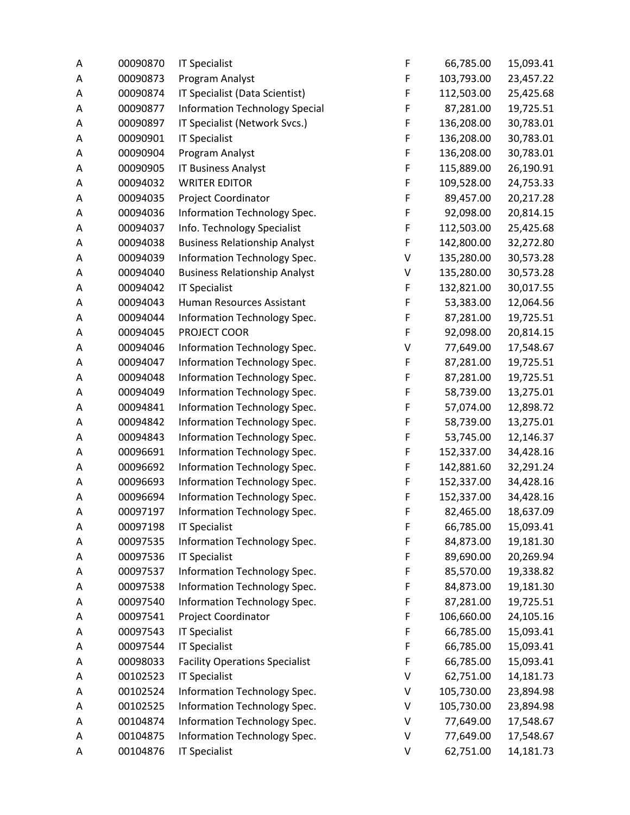| Α | 00090870 | <b>IT Specialist</b>                  | F           | 66,785.00  | 15,093.41 |
|---|----------|---------------------------------------|-------------|------------|-----------|
| Α | 00090873 | Program Analyst                       | F           | 103,793.00 | 23,457.22 |
| Α | 00090874 | IT Specialist (Data Scientist)        | F           | 112,503.00 | 25,425.68 |
| Α | 00090877 | <b>Information Technology Special</b> | F           | 87,281.00  | 19,725.51 |
| А | 00090897 | IT Specialist (Network Svcs.)         | F           | 136,208.00 | 30,783.01 |
| Α | 00090901 | <b>IT Specialist</b>                  | F           | 136,208.00 | 30,783.01 |
| Α | 00090904 | Program Analyst                       | F           | 136,208.00 | 30,783.01 |
| Α | 00090905 | <b>IT Business Analyst</b>            | F           | 115,889.00 | 26,190.91 |
| Α | 00094032 | <b>WRITER EDITOR</b>                  | $\mathsf F$ | 109,528.00 | 24,753.33 |
| Α | 00094035 | Project Coordinator                   | F           | 89,457.00  | 20,217.28 |
| A | 00094036 | Information Technology Spec.          | F           | 92,098.00  | 20,814.15 |
| А | 00094037 | Info. Technology Specialist           | F           | 112,503.00 | 25,425.68 |
| Α | 00094038 | <b>Business Relationship Analyst</b>  | F           | 142,800.00 | 32,272.80 |
| Α | 00094039 | Information Technology Spec.          | V           | 135,280.00 | 30,573.28 |
| Α | 00094040 | <b>Business Relationship Analyst</b>  | V           | 135,280.00 | 30,573.28 |
| Α | 00094042 | <b>IT Specialist</b>                  | $\mathsf F$ | 132,821.00 | 30,017.55 |
| Α | 00094043 | Human Resources Assistant             | F           | 53,383.00  | 12,064.56 |
| Α | 00094044 | Information Technology Spec.          | F           | 87,281.00  | 19,725.51 |
| Α | 00094045 | PROJECT COOR                          | F           | 92,098.00  | 20,814.15 |
| Α | 00094046 | Information Technology Spec.          | V           | 77,649.00  | 17,548.67 |
| Α | 00094047 | Information Technology Spec.          | F           | 87,281.00  | 19,725.51 |
| Α | 00094048 | Information Technology Spec.          | F           | 87,281.00  | 19,725.51 |
| Α | 00094049 | Information Technology Spec.          | F           | 58,739.00  | 13,275.01 |
| А | 00094841 | Information Technology Spec.          | F           | 57,074.00  | 12,898.72 |
| Α | 00094842 | Information Technology Spec.          | F           | 58,739.00  | 13,275.01 |
| А | 00094843 | Information Technology Spec.          | F           | 53,745.00  | 12,146.37 |
| Α | 00096691 | Information Technology Spec.          | F           | 152,337.00 | 34,428.16 |
| Α | 00096692 | Information Technology Spec.          | F           | 142,881.60 | 32,291.24 |
| Α | 00096693 | Information Technology Spec.          | F           | 152,337.00 | 34,428.16 |
| Α | 00096694 | Information Technology Spec.          | F           | 152,337.00 | 34,428.16 |
| Α | 00097197 | Information Technology Spec.          | F           | 82,465.00  | 18,637.09 |
| A | 00097198 | <b>IT Specialist</b>                  | F           | 66,785.00  | 15,093.41 |
| A | 00097535 | Information Technology Spec.          | F           | 84,873.00  | 19,181.30 |
| А | 00097536 | <b>IT Specialist</b>                  | F           | 89,690.00  | 20,269.94 |
| Α | 00097537 | Information Technology Spec.          | F           | 85,570.00  | 19,338.82 |
| А | 00097538 | Information Technology Spec.          | F           | 84,873.00  | 19,181.30 |
| Α | 00097540 | Information Technology Spec.          | F           | 87,281.00  | 19,725.51 |
| Α | 00097541 | Project Coordinator                   | F           | 106,660.00 | 24,105.16 |
| Α | 00097543 | <b>IT Specialist</b>                  | F           | 66,785.00  | 15,093.41 |
| Α | 00097544 | <b>IT Specialist</b>                  | F           | 66,785.00  | 15,093.41 |
| Α | 00098033 | <b>Facility Operations Specialist</b> | F           | 66,785.00  | 15,093.41 |
| Α | 00102523 | <b>IT Specialist</b>                  | V           | 62,751.00  | 14,181.73 |
| А | 00102524 | Information Technology Spec.          | V           | 105,730.00 | 23,894.98 |
| Α | 00102525 | Information Technology Spec.          | V           | 105,730.00 | 23,894.98 |
| А | 00104874 | Information Technology Spec.          | V           | 77,649.00  | 17,548.67 |
| Α | 00104875 | Information Technology Spec.          | V           | 77,649.00  | 17,548.67 |
| Α | 00104876 | <b>IT Specialist</b>                  | V           | 62,751.00  | 14,181.73 |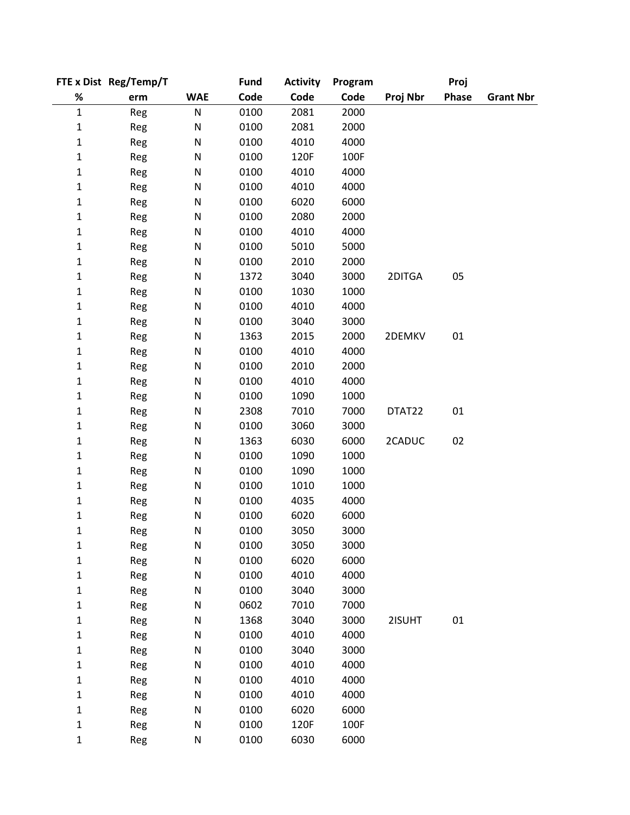|              | FTE x Dist Reg/Temp/T |            | <b>Fund</b> | <b>Activity</b> | Program |          | Proj  |                  |
|--------------|-----------------------|------------|-------------|-----------------|---------|----------|-------|------------------|
| $\%$         | erm                   | <b>WAE</b> | Code        | Code            | Code    | Proj Nbr | Phase | <b>Grant Nbr</b> |
| $\mathbf 1$  | Reg                   | ${\sf N}$  | 0100        | 2081            | 2000    |          |       |                  |
| 1            | Reg                   | ${\sf N}$  | 0100        | 2081            | 2000    |          |       |                  |
| 1            | Reg                   | ${\sf N}$  | 0100        | 4010            | 4000    |          |       |                  |
| $\mathbf 1$  | Reg                   | ${\sf N}$  | 0100        | 120F            | 100F    |          |       |                  |
| $\mathbf 1$  | Reg                   | ${\sf N}$  | 0100        | 4010            | 4000    |          |       |                  |
| $\mathbf{1}$ | Reg                   | ${\sf N}$  | 0100        | 4010            | 4000    |          |       |                  |
| 1            | Reg                   | N          | 0100        | 6020            | 6000    |          |       |                  |
| 1            | Reg                   | ${\sf N}$  | 0100        | 2080            | 2000    |          |       |                  |
| $\mathbf{1}$ | Reg                   | ${\sf N}$  | 0100        | 4010            | 4000    |          |       |                  |
| $\mathbf 1$  | Reg                   | N          | 0100        | 5010            | 5000    |          |       |                  |
| $\mathbf 1$  | Reg                   | ${\sf N}$  | 0100        | 2010            | 2000    |          |       |                  |
| $\mathbf{1}$ | Reg                   | N          | 1372        | 3040            | 3000    | 2DITGA   | 05    |                  |
| 1            | Reg                   | ${\sf N}$  | 0100        | 1030            | 1000    |          |       |                  |
| 1            | Reg                   | ${\sf N}$  | 0100        | 4010            | 4000    |          |       |                  |
| 1            | Reg                   | N          | 0100        | 3040            | 3000    |          |       |                  |
| $\mathbf 1$  | Reg                   | ${\sf N}$  | 1363        | 2015            | 2000    | 2DEMKV   | 01    |                  |
| $\mathbf{1}$ | Reg                   | ${\sf N}$  | 0100        | 4010            | 4000    |          |       |                  |
| 1            | Reg                   | ${\sf N}$  | 0100        | 2010            | 2000    |          |       |                  |
| 1            | Reg                   | N          | 0100        | 4010            | 4000    |          |       |                  |
| 1            | Reg                   | N          | 0100        | 1090            | 1000    |          |       |                  |
| 1            | Reg                   | ${\sf N}$  | 2308        | 7010            | 7000    | DTAT22   | 01    |                  |
| 1            | Reg                   | N          | 0100        | 3060            | 3000    |          |       |                  |
| $\mathbf{1}$ | Reg                   | ${\sf N}$  | 1363        | 6030            | 6000    | 2CADUC   | 02    |                  |
| $\mathbf 1$  | Reg                   | N          | 0100        | 1090            | 1000    |          |       |                  |
| $\mathbf{1}$ | Reg                   | ${\sf N}$  | 0100        | 1090            | 1000    |          |       |                  |
| 1            | Reg                   | ${\sf N}$  | 0100        | 1010            | 1000    |          |       |                  |
| 1            | Reg                   | ${\sf N}$  | 0100        | 4035            | 4000    |          |       |                  |
| 1            | Reg                   | N          | 0100        | 6020            | 6000    |          |       |                  |
| 1            | Reg                   | N          | 0100        | 3050            | 3000    |          |       |                  |
| 1            | Reg                   | ${\sf N}$  | 0100        | 3050            | 3000    |          |       |                  |
| 1            | Reg                   | N          | 0100        | 6020            | 6000    |          |       |                  |
| 1            | Reg                   | N          | 0100        | 4010            | 4000    |          |       |                  |
| 1            | Reg                   | ${\sf N}$  | 0100        | 3040            | 3000    |          |       |                  |
| 1            | Reg                   | ${\sf N}$  | 0602        | 7010            | 7000    |          |       |                  |
| $\mathbf 1$  | Reg                   | ${\sf N}$  | 1368        | 3040            | 3000    | 2ISUHT   | 01    |                  |
| 1            | Reg                   | N          | 0100        | 4010            | 4000    |          |       |                  |
| 1            | Reg                   | N          | 0100        | 3040            | 3000    |          |       |                  |
| 1            | Reg                   | N          | 0100        | 4010            | 4000    |          |       |                  |
| 1            | Reg                   | ${\sf N}$  | 0100        | 4010            | 4000    |          |       |                  |
| 1            | Reg                   | ${\sf N}$  | 0100        | 4010            | 4000    |          |       |                  |
| 1            | Reg                   | N          | 0100        | 6020            | 6000    |          |       |                  |
| $\mathbf 1$  | Reg                   | N          | 0100        | 120F            | 100F    |          |       |                  |
| $\mathbf{1}$ | Reg                   | N          | 0100        | 6030            | 6000    |          |       |                  |
|              |                       |            |             |                 |         |          |       |                  |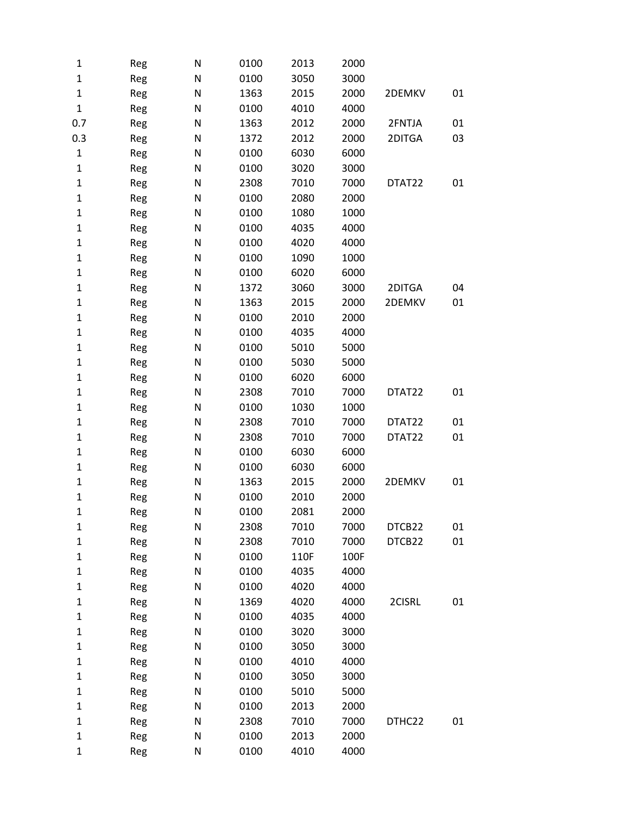| 1            | Reg | N | 0100 | 2013 | 2000 |        |    |
|--------------|-----|---|------|------|------|--------|----|
| $\mathbf{1}$ | Reg | N | 0100 | 3050 | 3000 |        |    |
| $\mathbf{1}$ | Reg | N | 1363 | 2015 | 2000 | 2DEMKV | 01 |
| $\mathbf{1}$ | Reg | N | 0100 | 4010 | 4000 |        |    |
| 0.7          | Reg | N | 1363 | 2012 | 2000 | 2FNTJA | 01 |
| 0.3          | Reg | N | 1372 | 2012 | 2000 | 2DITGA | 03 |
| $\mathbf{1}$ | Reg | N | 0100 | 6030 | 6000 |        |    |
| $\mathbf 1$  | Reg | N | 0100 | 3020 | 3000 |        |    |
| 1            | Reg | N | 2308 | 7010 | 7000 | DTAT22 | 01 |
| 1            | Reg | N | 0100 | 2080 | 2000 |        |    |
| 1            | Reg | N | 0100 | 1080 | 1000 |        |    |
| $\mathbf{1}$ | Reg | N | 0100 | 4035 | 4000 |        |    |
| $\mathbf{1}$ | Reg | N | 0100 | 4020 | 4000 |        |    |
| 1            | Reg | N | 0100 | 1090 | 1000 |        |    |
| 1            | Reg | N | 0100 | 6020 | 6000 |        |    |
| 1            | Reg | N | 1372 | 3060 | 3000 | 2DITGA | 04 |
| 1            | Reg | N | 1363 | 2015 | 2000 | 2DEMKV | 01 |
| 1            | Reg | N | 0100 | 2010 | 2000 |        |    |
| $\mathbf{1}$ | Reg | N | 0100 | 4035 | 4000 |        |    |
| 1            | Reg | N | 0100 | 5010 | 5000 |        |    |
| 1            | Reg | N | 0100 | 5030 | 5000 |        |    |
| 1            | Reg | N | 0100 | 6020 | 6000 |        |    |
| 1            | Reg | N | 2308 | 7010 | 7000 | DTAT22 | 01 |
| 1            | Reg | N | 0100 | 1030 | 1000 |        |    |
| 1            | Reg | N | 2308 | 7010 | 7000 | DTAT22 | 01 |
| $\mathbf{1}$ | Reg | N | 2308 | 7010 | 7000 | DTAT22 | 01 |
| $\mathbf 1$  | Reg | N | 0100 | 6030 | 6000 |        |    |
| 1            | Reg | N | 0100 | 6030 | 6000 |        |    |
| 1            | Reg | N | 1363 | 2015 | 2000 | 2DEMKV | 01 |
| 1            | Reg | N | 0100 | 2010 | 2000 |        |    |
| $\mathbf{1}$ | Reg | N | 0100 | 2081 | 2000 |        |    |
| 1            | Reg | N | 2308 | 7010 | 7000 | DTCB22 | 01 |
| 1            | Reg | N | 2308 | 7010 | 7000 | DTCB22 | 01 |
| 1            | Reg | N | 0100 | 110F | 100F |        |    |
| 1            | Reg | N | 0100 | 4035 | 4000 |        |    |
| 1            | Reg | N | 0100 | 4020 | 4000 |        |    |
| 1            | Reg | N | 1369 | 4020 | 4000 | 2CISRL | 01 |
| $\mathbf{1}$ | Reg | N | 0100 | 4035 | 4000 |        |    |
| 1            | Reg | N | 0100 | 3020 | 3000 |        |    |
| 1            | Reg | N | 0100 | 3050 | 3000 |        |    |
| 1            | Reg | N | 0100 | 4010 | 4000 |        |    |
| 1            | Reg | N | 0100 | 3050 | 3000 |        |    |
| 1            | Reg | N | 0100 | 5010 | 5000 |        |    |
| 1            | Reg | N | 0100 | 2013 | 2000 |        |    |
| 1            | Reg | N | 2308 | 7010 | 7000 | DTHC22 | 01 |
| 1            | Reg | N | 0100 | 2013 | 2000 |        |    |
| 1            | Reg | N | 0100 | 4010 | 4000 |        |    |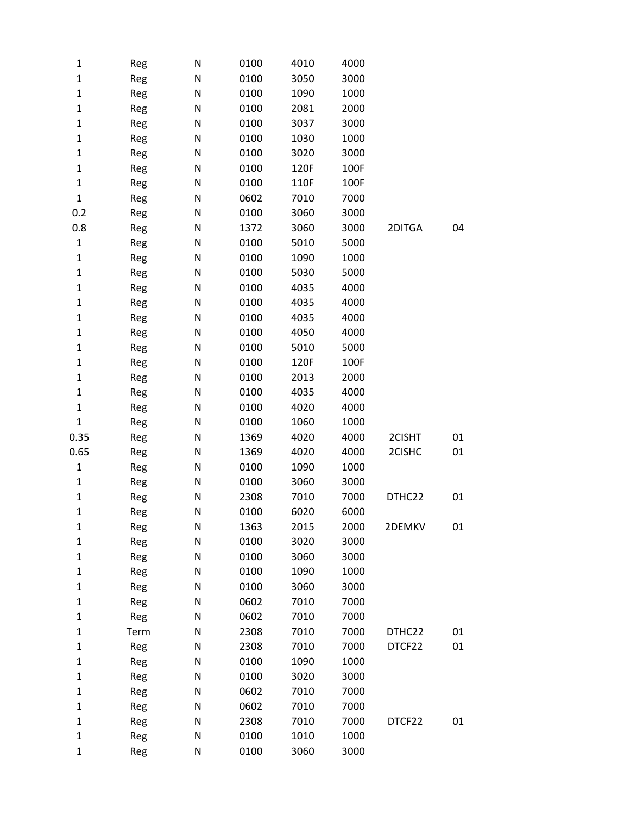| 1            | Reg  | N         | 0100 | 4010 | 4000 |        |    |
|--------------|------|-----------|------|------|------|--------|----|
| $\mathbf 1$  | Reg  | ${\sf N}$ | 0100 | 3050 | 3000 |        |    |
| $\mathbf 1$  | Reg  | N         | 0100 | 1090 | 1000 |        |    |
| $\mathbf 1$  | Reg  | ${\sf N}$ | 0100 | 2081 | 2000 |        |    |
| $\mathbf 1$  | Reg  | ${\sf N}$ | 0100 | 3037 | 3000 |        |    |
| $\mathbf 1$  | Reg  | N         | 0100 | 1030 | 1000 |        |    |
| $\mathbf 1$  | Reg  | ${\sf N}$ | 0100 | 3020 | 3000 |        |    |
| $\mathbf{1}$ | Reg  | N         | 0100 | 120F | 100F |        |    |
| $\mathbf 1$  | Reg  | ${\sf N}$ | 0100 | 110F | 100F |        |    |
| $\mathbf 1$  | Reg  | ${\sf N}$ | 0602 | 7010 | 7000 |        |    |
| 0.2          | Reg  | N         | 0100 | 3060 | 3000 |        |    |
| 0.8          | Reg  | ${\sf N}$ | 1372 | 3060 | 3000 | 2DITGA | 04 |
| $\mathbf{1}$ | Reg  | N         | 0100 | 5010 | 5000 |        |    |
| $\mathbf 1$  | Reg  | ${\sf N}$ | 0100 | 1090 | 1000 |        |    |
| $\mathbf{1}$ | Reg  | N         | 0100 | 5030 | 5000 |        |    |
| $\mathbf 1$  | Reg  | N         | 0100 | 4035 | 4000 |        |    |
| $\mathbf 1$  | Reg  | ${\sf N}$ | 0100 | 4035 | 4000 |        |    |
| $\mathbf 1$  | Reg  | N         | 0100 | 4035 | 4000 |        |    |
| $\mathbf 1$  | Reg  | ${\sf N}$ | 0100 | 4050 | 4000 |        |    |
| $\mathbf 1$  | Reg  | N         | 0100 | 5010 | 5000 |        |    |
| $\mathbf 1$  | Reg  | ${\sf N}$ | 0100 | 120F | 100F |        |    |
| $\mathbf 1$  | Reg  | ${\sf N}$ | 0100 | 2013 | 2000 |        |    |
| $\mathbf 1$  | Reg  | N         | 0100 | 4035 | 4000 |        |    |
| $\mathbf 1$  | Reg  | ${\sf N}$ | 0100 | 4020 | 4000 |        |    |
| $\mathbf 1$  | Reg  | N         | 0100 | 1060 | 1000 |        |    |
| 0.35         | Reg  | ${\sf N}$ | 1369 | 4020 | 4000 | 2CISHT | 01 |
| 0.65         | Reg  | N         | 1369 | 4020 | 4000 | 2CISHC | 01 |
| $\mathbf 1$  | Reg  | N         | 0100 | 1090 | 1000 |        |    |
| $\mathbf 1$  | Reg  | ${\sf N}$ | 0100 | 3060 | 3000 |        |    |
| $\mathbf{1}$ | Reg  | N         | 2308 | 7010 | 7000 | DTHC22 | 01 |
| $\mathbf 1$  | Reg  | N         | 0100 | 6020 | 6000 |        |    |
| $\mathbf{1}$ | Reg  | N         | 1363 | 2015 | 2000 | 2DEMKV | 01 |
| $\mathbf 1$  | Reg  | ${\sf N}$ | 0100 | 3020 | 3000 |        |    |
| $\mathbf{1}$ | Reg  | N         | 0100 | 3060 | 3000 |        |    |
| $\mathbf{1}$ | Reg  | N         | 0100 | 1090 | 1000 |        |    |
| $\mathbf 1$  | Reg  | N         | 0100 | 3060 | 3000 |        |    |
| $\mathbf{1}$ | Reg  | N         | 0602 | 7010 | 7000 |        |    |
| $\mathbf 1$  | Reg  | ${\sf N}$ | 0602 | 7010 | 7000 |        |    |
| $\mathbf{1}$ | Term | N         | 2308 | 7010 | 7000 | DTHC22 | 01 |
| $\mathbf{1}$ | Reg  | ${\sf N}$ | 2308 | 7010 | 7000 | DTCF22 | 01 |
| $\mathbf 1$  | Reg  | N         | 0100 | 1090 | 1000 |        |    |
| $\mathbf{1}$ | Reg  | N         | 0100 | 3020 | 3000 |        |    |
| $\mathbf 1$  | Reg  | N         | 0602 | 7010 | 7000 |        |    |
| $\mathbf{1}$ | Reg  | N         | 0602 | 7010 | 7000 |        |    |
| $\mathbf 1$  | Reg  | ${\sf N}$ | 2308 | 7010 | 7000 | DTCF22 | 01 |
| $\mathbf{1}$ | Reg  | N         | 0100 | 1010 | 1000 |        |    |
| $\mathbf{1}$ | Reg  | ${\sf N}$ | 0100 | 3060 | 3000 |        |    |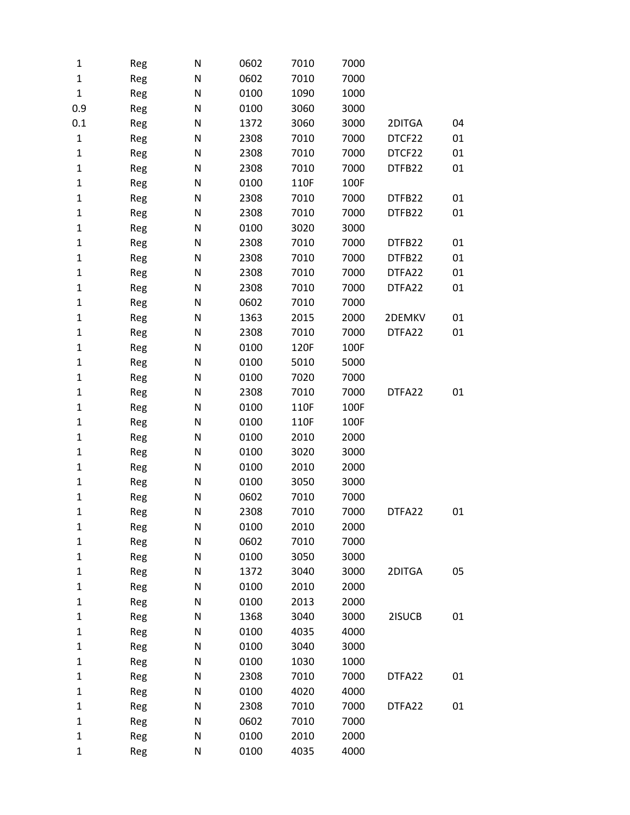| 1            | Reg | N | 0602 | 7010 | 7000 |        |    |
|--------------|-----|---|------|------|------|--------|----|
| $\mathbf{1}$ | Reg | N | 0602 | 7010 | 7000 |        |    |
| $\mathbf{1}$ | Reg | N | 0100 | 1090 | 1000 |        |    |
| 0.9          | Reg | N | 0100 | 3060 | 3000 |        |    |
| 0.1          | Reg | N | 1372 | 3060 | 3000 | 2DITGA | 04 |
| $\mathbf{1}$ | Reg | N | 2308 | 7010 | 7000 | DTCF22 | 01 |
| 1            | Reg | N | 2308 | 7010 | 7000 | DTCF22 | 01 |
| 1            | Reg | N | 2308 | 7010 | 7000 | DTFB22 | 01 |
| 1            | Reg | N | 0100 | 110F | 100F |        |    |
| 1            | Reg | N | 2308 | 7010 | 7000 | DTFB22 | 01 |
| 1            | Reg | N | 2308 | 7010 | 7000 | DTFB22 | 01 |
| $\mathbf 1$  | Reg | N | 0100 | 3020 | 3000 |        |    |
| 1            | Reg | N | 2308 | 7010 | 7000 | DTFB22 | 01 |
| 1            | Reg | N | 2308 | 7010 | 7000 | DTFB22 | 01 |
| 1            | Reg | N | 2308 | 7010 | 7000 | DTFA22 | 01 |
| 1            | Reg | N | 2308 | 7010 | 7000 | DTFA22 | 01 |
| $\mathbf 1$  | Reg | N | 0602 | 7010 | 7000 |        |    |
| 1            | Reg | N | 1363 | 2015 | 2000 | 2DEMKV | 01 |
| 1            | Reg | N | 2308 | 7010 | 7000 | DTFA22 | 01 |
| 1            | Reg | N | 0100 | 120F | 100F |        |    |
| 1            | Reg | N | 0100 | 5010 | 5000 |        |    |
| $\mathbf 1$  | Reg | N | 0100 | 7020 | 7000 |        |    |
| 1            | Reg | N | 2308 | 7010 | 7000 | DTFA22 | 01 |
| 1            | Reg | N | 0100 | 110F | 100F |        |    |
| 1            | Reg | N | 0100 | 110F | 100F |        |    |
| 1            | Reg | N | 0100 | 2010 | 2000 |        |    |
| 1            | Reg | N | 0100 | 3020 | 3000 |        |    |
| 1            | Reg | N | 0100 | 2010 | 2000 |        |    |
| 1            | Reg | N | 0100 | 3050 | 3000 |        |    |
| 1            | Reg | N | 0602 | 7010 | 7000 |        |    |
| $\mathbf 1$  | Reg | N | 2308 | 7010 | 7000 | DTFA22 | 01 |
| 1            | Reg | N | 0100 | 2010 | 2000 |        |    |
| 1            | Reg | N | 0602 | 7010 | 7000 |        |    |
| 1            | Reg | N | 0100 | 3050 | 3000 |        |    |
| 1            | Reg | N | 1372 | 3040 | 3000 | 2DITGA | 05 |
| 1            | Reg | N | 0100 | 2010 | 2000 |        |    |
| 1            | Reg | N | 0100 | 2013 | 2000 |        |    |
| 1            | Reg | N | 1368 | 3040 | 3000 | 2ISUCB | 01 |
| 1            | Reg | N | 0100 | 4035 | 4000 |        |    |
| 1            | Reg | N | 0100 | 3040 | 3000 |        |    |
| 1            | Reg | N | 0100 | 1030 | 1000 |        |    |
| 1            | Reg | N | 2308 | 7010 | 7000 | DTFA22 | 01 |
| $\mathbf 1$  | Reg | N | 0100 | 4020 | 4000 |        |    |
| 1            | Reg | N | 2308 | 7010 | 7000 | DTFA22 | 01 |
| 1            | Reg | N | 0602 | 7010 | 7000 |        |    |
| 1            | Reg | N | 0100 | 2010 | 2000 |        |    |
| $\mathbf 1$  | Reg | N | 0100 | 4035 | 4000 |        |    |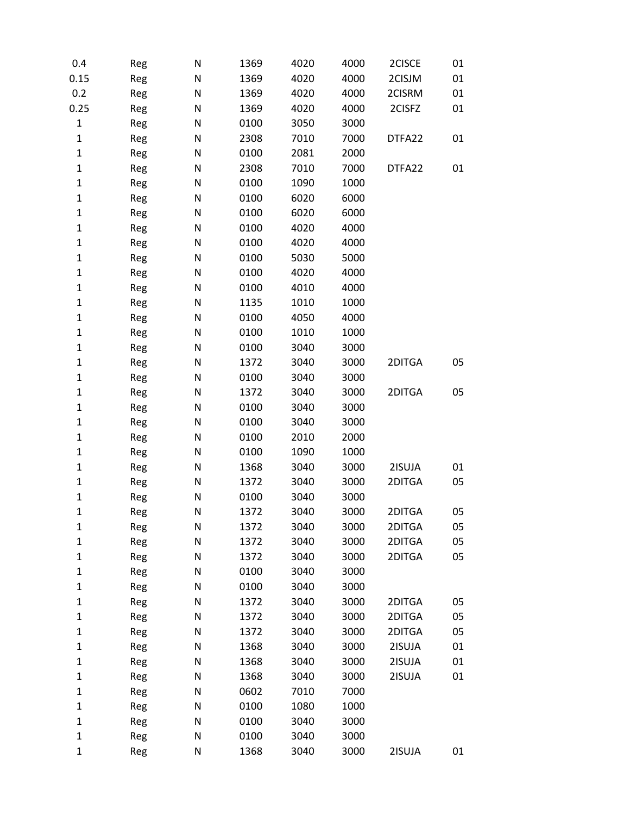| 0.4          | Reg | N | 1369 | 4020 | 4000 | 2CISCE | 01 |
|--------------|-----|---|------|------|------|--------|----|
| 0.15         | Reg | N | 1369 | 4020 | 4000 | 2CISJM | 01 |
| 0.2          | Reg | N | 1369 | 4020 | 4000 | 2CISRM | 01 |
| 0.25         | Reg | N | 1369 | 4020 | 4000 | 2CISFZ | 01 |
| $\mathbf 1$  | Reg | N | 0100 | 3050 | 3000 |        |    |
| $\mathbf 1$  | Reg | N | 2308 | 7010 | 7000 | DTFA22 | 01 |
| $\mathbf 1$  | Reg | N | 0100 | 2081 | 2000 |        |    |
| $\mathbf 1$  | Reg | N | 2308 | 7010 | 7000 | DTFA22 | 01 |
| $\mathbf 1$  | Reg | N | 0100 | 1090 | 1000 |        |    |
| $\mathbf 1$  | Reg | N | 0100 | 6020 | 6000 |        |    |
| $\mathbf 1$  | Reg | N | 0100 | 6020 | 6000 |        |    |
| $\mathbf 1$  | Reg | N | 0100 | 4020 | 4000 |        |    |
| $\mathbf 1$  | Reg | N | 0100 | 4020 | 4000 |        |    |
| $\mathbf 1$  | Reg | N | 0100 | 5030 | 5000 |        |    |
| $\mathbf 1$  | Reg | N | 0100 | 4020 | 4000 |        |    |
| $\mathbf 1$  | Reg | N | 0100 | 4010 | 4000 |        |    |
| $\mathbf 1$  | Reg | N | 1135 | 1010 | 1000 |        |    |
| $\mathbf 1$  | Reg | N | 0100 | 4050 | 4000 |        |    |
| $\mathbf 1$  | Reg | N | 0100 | 1010 | 1000 |        |    |
| $\mathbf{1}$ | Reg | N | 0100 | 3040 | 3000 |        |    |
| $\mathbf 1$  | Reg | N | 1372 | 3040 | 3000 | 2DITGA | 05 |
| $\mathbf 1$  | Reg | N | 0100 | 3040 | 3000 |        |    |
| $\mathbf 1$  | Reg | N | 1372 | 3040 | 3000 | 2DITGA | 05 |
| $\mathbf 1$  | Reg | N | 0100 | 3040 | 3000 |        |    |
| $\mathbf 1$  | Reg | N | 0100 | 3040 | 3000 |        |    |
| $\mathbf 1$  | Reg | N | 0100 | 2010 | 2000 |        |    |
| $\mathbf 1$  | Reg | N | 0100 | 1090 | 1000 |        |    |
| $\mathbf{1}$ | Reg | N | 1368 | 3040 | 3000 | 2ISUJA | 01 |
| $\mathbf 1$  | Reg | N | 1372 | 3040 | 3000 | 2DITGA | 05 |
| $\mathbf{1}$ | Reg | N | 0100 | 3040 | 3000 |        |    |
| $\mathbf 1$  | Reg | N | 1372 | 3040 | 3000 | 2DITGA | 05 |
| $\mathbf{1}$ | Reg | N | 1372 | 3040 | 3000 | 2DITGA | 05 |
| $\mathbf 1$  | Reg | N | 1372 | 3040 | 3000 | 2DITGA | 05 |
| $\mathbf{1}$ | Reg | N | 1372 | 3040 | 3000 | 2DITGA | 05 |
| $\mathbf{1}$ | Reg | N | 0100 | 3040 | 3000 |        |    |
| $\mathbf{1}$ | Reg | N | 0100 | 3040 | 3000 |        |    |
| $\mathbf{1}$ | Reg | N | 1372 | 3040 | 3000 | 2DITGA | 05 |
| $\mathbf 1$  | Reg | N | 1372 | 3040 | 3000 | 2DITGA | 05 |
| $\mathbf{1}$ | Reg | N | 1372 | 3040 | 3000 | 2DITGA | 05 |
| $\mathbf 1$  | Reg | N | 1368 | 3040 | 3000 | 2ISUJA | 01 |
| $\mathbf{1}$ | Reg | N | 1368 | 3040 | 3000 | 2ISUJA | 01 |
| $\mathbf 1$  | Reg | N | 1368 | 3040 | 3000 | 2ISUJA | 01 |
| $\mathbf{1}$ | Reg | N | 0602 | 7010 | 7000 |        |    |
| $\mathbf{1}$ | Reg | N | 0100 | 1080 | 1000 |        |    |
| $\mathbf 1$  | Reg | N | 0100 | 3040 | 3000 |        |    |
| $\mathbf{1}$ | Reg | N | 0100 | 3040 | 3000 |        |    |
| $\mathbf{1}$ | Reg | N | 1368 | 3040 | 3000 | 2ISUJA | 01 |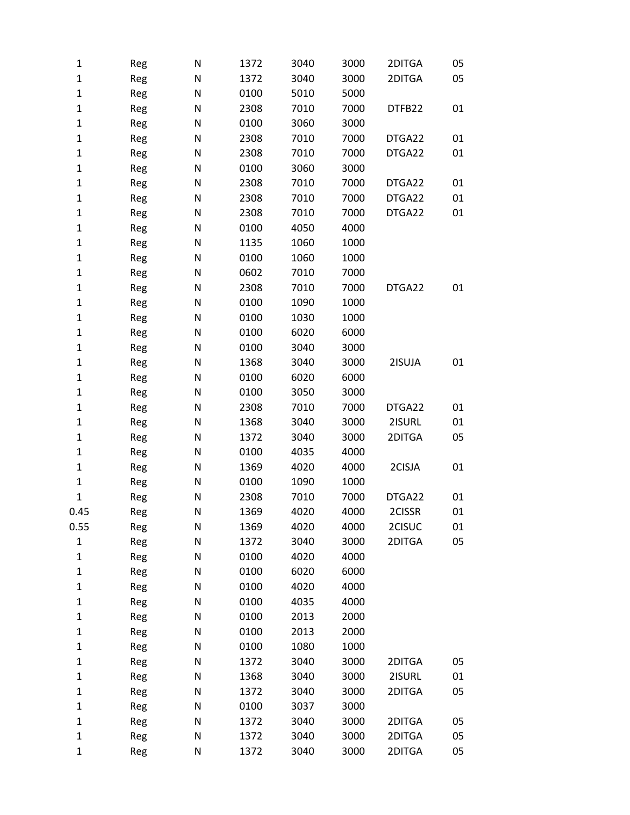| 1                 | Reg        | $\mathsf{N}$   | 1372         | 3040         | 3000         | 2DITGA | 05 |
|-------------------|------------|----------------|--------------|--------------|--------------|--------|----|
| $\mathbf{1}$      | Reg        | ${\sf N}$      | 1372         | 3040         | 3000         | 2DITGA | 05 |
| $\mathbf{1}$      | Reg        | ${\sf N}$      | 0100         | 5010         | 5000         |        |    |
| $\mathbf 1$       | Reg        | ${\sf N}$      | 2308         | 7010         | 7000         | DTFB22 | 01 |
| $\mathbf{1}$      | Reg        | ${\sf N}$      | 0100         | 3060         | 3000         |        |    |
| $\mathbf{1}$      | Reg        | ${\sf N}$      | 2308         | 7010         | 7000         | DTGA22 | 01 |
| $\mathbf{1}$      | Reg        | ${\sf N}$      | 2308         | 7010         | 7000         | DTGA22 | 01 |
| $\mathbf{1}$      | Reg        | ${\sf N}$      | 0100         | 3060         | 3000         |        |    |
| $\mathbf 1$       | Reg        | ${\sf N}$      | 2308         | 7010         | 7000         | DTGA22 | 01 |
| $\mathbf{1}$      | Reg        | ${\sf N}$      | 2308         | 7010         | 7000         | DTGA22 | 01 |
| $\mathbf 1$       | Reg        | ${\sf N}$      | 2308         | 7010         | 7000         | DTGA22 | 01 |
| $\mathbf{1}$      | Reg        | ${\sf N}$      | 0100         | 4050         | 4000         |        |    |
| $\mathbf{1}$      | Reg        | ${\sf N}$      | 1135         | 1060         | 1000         |        |    |
| $\mathbf 1$       | Reg        | ${\sf N}$      | 0100         | 1060         | 1000         |        |    |
| $\mathbf{1}$      | Reg        | ${\sf N}$      | 0602         | 7010         | 7000         |        |    |
| $\mathbf{1}$      | Reg        | ${\sf N}$      | 2308         | 7010         | 7000         | DTGA22 | 01 |
| $\mathbf 1$       | Reg        | ${\sf N}$      | 0100         | 1090         | 1000         |        |    |
| $\mathbf{1}$      | Reg        | ${\sf N}$      | 0100         | 1030         | 1000         |        |    |
| $\mathbf 1$       | Reg        | ${\sf N}$      | 0100         | 6020         | 6000         |        |    |
| $\mathbf{1}$      | Reg        | ${\sf N}$      | 0100         | 3040         | 3000         |        |    |
| $\mathbf{1}$      | Reg        | ${\sf N}$      | 1368         | 3040         | 3000         | 2ISUJA | 01 |
| $\mathbf 1$       | Reg        | ${\sf N}$      | 0100         | 6020         | 6000         |        |    |
| $\mathbf 1$       | Reg        | N              | 0100         | 3050         | 3000         |        |    |
| $\mathbf{1}$      | Reg        | ${\sf N}$      | 2308         | 7010         | 7000         | DTGA22 | 01 |
| $\mathbf{1}$      | Reg        | ${\sf N}$      | 1368         | 3040         | 3000         | 2ISURL | 01 |
| $\mathbf{1}$      | Reg        | ${\sf N}$      | 1372         | 3040         | 3000         | 2DITGA | 05 |
| $\mathbf{1}$      | Reg        | ${\sf N}$      | 0100         | 4035         | 4000         |        |    |
| $\mathbf 1$       | Reg        | ${\sf N}$      | 1369         | 4020         | 4000         | 2CISJA | 01 |
| $\mathbf{1}$      | Reg        | ${\sf N}$      | 0100         | 1090         | 1000         |        |    |
| 1                 | Reg        | N              | 2308         | 7010         | 7000         | DTGA22 | 01 |
| 0.45              | Reg        | N              | 1369         | 4020         | 4000         | 2CISSR | 01 |
| 0.55              | Reg        | N              | 1369         | 4020         | 4000         | 2CISUC | 01 |
| $\mathbf 1$       | Reg        | N              | 1372         | 3040         | 3000         | 2DITGA | 05 |
| 1                 | Reg        | N              | 0100         | 4020         | 4000         |        |    |
| $\mathbf{1}$      | Reg        | N              | 0100         | 6020         | 6000         |        |    |
| 1                 | Reg        | $\mathsf{N}$   | 0100         | 4020         | 4000         |        |    |
| $\mathbf{1}$      | Reg        | N              | 0100         | 4035         | 4000         |        |    |
| $\mathbf{1}$      | Reg        | N              | 0100         | 2013         | 2000         |        |    |
| $\mathbf{1}$      | Reg        | ${\sf N}$      | 0100         | 2013         | 2000         |        |    |
| $\mathbf 1$       | Reg        | $\mathsf{N}$   | 0100         | 1080         | 1000         |        |    |
| 1                 | Reg        | $\mathsf{N}$   | 1372         | 3040         | 3000         | 2DITGA | 05 |
| $\mathbf{1}$      | Reg        | N              | 1368         | 3040         | 3000         | 2ISURL | 01 |
| 1                 | Reg        | N              | 1372         | 3040         | 3000<br>3000 | 2DITGA | 05 |
| $\mathbf{1}$<br>1 | Reg<br>Reg | ${\sf N}$<br>N | 0100<br>1372 | 3037<br>3040 | 3000         | 2DITGA | 05 |
| 1                 | Reg        | N              | 1372         | 3040         | 3000         | 2DITGA | 05 |
| $\mathbf 1$       |            | N              | 1372         | 3040         | 3000         | 2DITGA | 05 |
|                   | Reg        |                |              |              |              |        |    |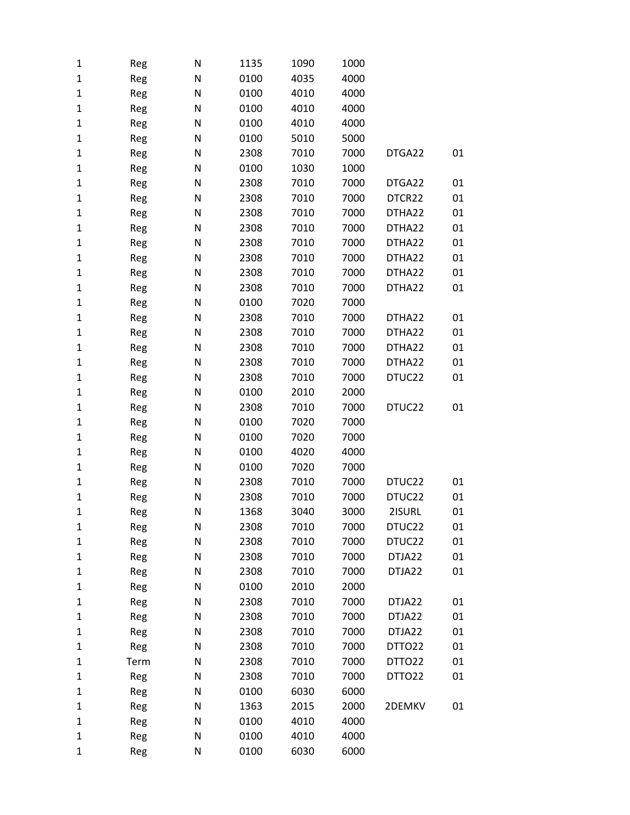| 1 | Reg  | N | 1135 | 1090 | 1000 |        |    |
|---|------|---|------|------|------|--------|----|
| 1 | Reg  | N | 0100 | 4035 | 4000 |        |    |
| 1 | Reg  | N | 0100 | 4010 | 4000 |        |    |
| 1 | Reg  | N | 0100 | 4010 | 4000 |        |    |
| 1 | Reg  | N | 0100 | 4010 | 4000 |        |    |
| 1 | Reg  | N | 0100 | 5010 | 5000 |        |    |
| 1 | Reg  | N | 2308 | 7010 | 7000 | DTGA22 | 01 |
| 1 | Reg  | N | 0100 | 1030 | 1000 |        |    |
| 1 | Reg  | N | 2308 | 7010 | 7000 | DTGA22 | 01 |
| 1 | Reg  | N | 2308 | 7010 | 7000 | DTCR22 | 01 |
| 1 | Reg  | N | 2308 | 7010 | 7000 | DTHA22 | 01 |
| 1 | Reg  | N | 2308 | 7010 | 7000 | DTHA22 | 01 |
| 1 | Reg  | N | 2308 | 7010 | 7000 | DTHA22 | 01 |
| 1 | Reg  | N | 2308 | 7010 | 7000 | DTHA22 | 01 |
| 1 | Reg  | N | 2308 | 7010 | 7000 | DTHA22 | 01 |
| 1 | Reg  | N | 2308 | 7010 | 7000 | DTHA22 | 01 |
| 1 | Reg  | N | 0100 | 7020 | 7000 |        |    |
| 1 | Reg  | N | 2308 | 7010 | 7000 | DTHA22 | 01 |
| 1 | Reg  | N | 2308 | 7010 | 7000 | DTHA22 | 01 |
| 1 | Reg  | N | 2308 | 7010 | 7000 | DTHA22 | 01 |
| 1 | Reg  | N | 2308 | 7010 | 7000 | DTHA22 | 01 |
| 1 | Reg  | N | 2308 | 7010 | 7000 | DTUC22 | 01 |
| 1 | Reg  | N | 0100 | 2010 | 2000 |        |    |
| 1 | Reg  | N | 2308 | 7010 | 7000 | DTUC22 | 01 |
| 1 | Reg  | N | 0100 | 7020 | 7000 |        |    |
| 1 | Reg  | N | 0100 | 7020 | 7000 |        |    |
| 1 | Reg  | N | 0100 | 4020 | 4000 |        |    |
| 1 | Reg  | N | 0100 | 7020 | 7000 |        |    |
| 1 | Reg  | N | 2308 | 7010 | 7000 | DTUC22 | 01 |
| 1 | Reg  | N | 2308 | 7010 | 7000 | DTUC22 | 01 |
| 1 | Reg  | N | 1368 | 3040 | 3000 | 2ISURL | 01 |
| 1 | Reg  | N | 2308 | 7010 | 7000 | DTUC22 | 01 |
| 1 | Reg  | N | 2308 | 7010 | 7000 | DTUC22 | 01 |
| 1 | Reg  | N | 2308 | 7010 | 7000 | DTJA22 | 01 |
| 1 | Reg  | N | 2308 | 7010 | 7000 | DTJA22 | 01 |
| 1 | Reg  | N | 0100 | 2010 | 2000 |        |    |
| 1 | Reg  | N | 2308 | 7010 | 7000 | DTJA22 | 01 |
| 1 | Reg  | N | 2308 | 7010 | 7000 | DTJA22 | 01 |
| 1 | Reg  | N | 2308 | 7010 | 7000 | DTJA22 | 01 |
| 1 | Reg  | N | 2308 | 7010 | 7000 | DTTO22 | 01 |
| 1 | Term | N | 2308 | 7010 | 7000 | DTTO22 | 01 |
| 1 | Reg  | N | 2308 | 7010 | 7000 | DTTO22 | 01 |
| 1 | Reg  | N | 0100 | 6030 | 6000 |        |    |
| 1 | Reg  | N | 1363 | 2015 | 2000 | 2DEMKV | 01 |
| 1 | Reg  | N | 0100 | 4010 | 4000 |        |    |
| 1 | Reg  | N | 0100 | 4010 | 4000 |        |    |
| 1 | Reg  | N | 0100 | 6030 | 6000 |        |    |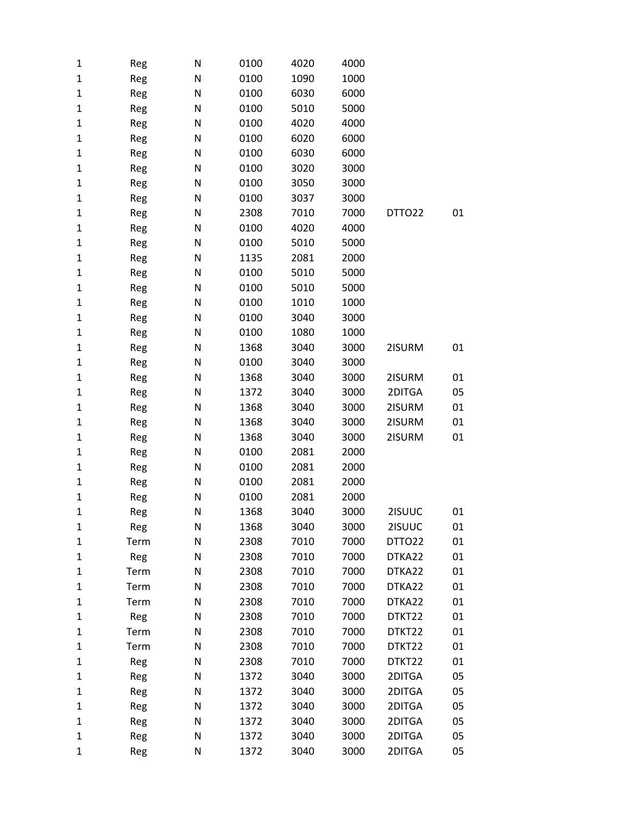| 1           | Reg  | N | 0100 | 4020 | 4000 |        |    |
|-------------|------|---|------|------|------|--------|----|
| 1           | Reg  | N | 0100 | 1090 | 1000 |        |    |
| 1           | Reg  | N | 0100 | 6030 | 6000 |        |    |
| 1           | Reg  | N | 0100 | 5010 | 5000 |        |    |
| 1           | Reg  | N | 0100 | 4020 | 4000 |        |    |
| 1           | Reg  | N | 0100 | 6020 | 6000 |        |    |
| 1           | Reg  | N | 0100 | 6030 | 6000 |        |    |
| 1           | Reg  | N | 0100 | 3020 | 3000 |        |    |
| $\mathbf 1$ | Reg  | N | 0100 | 3050 | 3000 |        |    |
| 1           | Reg  | N | 0100 | 3037 | 3000 |        |    |
| 1           | Reg  | N | 2308 | 7010 | 7000 | DTTO22 | 01 |
| $\mathbf 1$ | Reg  | N | 0100 | 4020 | 4000 |        |    |
| 1           | Reg  | N | 0100 | 5010 | 5000 |        |    |
| 1           | Reg  | N | 1135 | 2081 | 2000 |        |    |
| 1           | Reg  | N | 0100 | 5010 | 5000 |        |    |
| 1           | Reg  | N | 0100 | 5010 | 5000 |        |    |
| 1           | Reg  | N | 0100 | 1010 | 1000 |        |    |
| 1           | Reg  | N | 0100 | 3040 | 3000 |        |    |
| 1           | Reg  | N | 0100 | 1080 | 1000 |        |    |
| 1           | Reg  | N | 1368 | 3040 | 3000 | 2ISURM | 01 |
| 1           | Reg  | N | 0100 | 3040 | 3000 |        |    |
| 1           | Reg  | N | 1368 | 3040 | 3000 | 2ISURM | 01 |
| 1           | Reg  | N | 1372 | 3040 | 3000 | 2DITGA | 05 |
| 1           | Reg  | N | 1368 | 3040 | 3000 | 2ISURM | 01 |
| 1           | Reg  | N | 1368 | 3040 | 3000 | 2ISURM | 01 |
| 1           | Reg  | N | 1368 | 3040 | 3000 | 2ISURM | 01 |
| 1           | Reg  | N | 0100 | 2081 | 2000 |        |    |
| $\mathbf 1$ | Reg  | N | 0100 | 2081 | 2000 |        |    |
| 1           | Reg  | N | 0100 | 2081 | 2000 |        |    |
| 1           | Reg  | Ν | 0100 | 2081 | 2000 |        |    |
| $\mathbf 1$ | Reg  | N | 1368 | 3040 | 3000 | 2ISUUC | 01 |
| 1           | Reg  | N | 1368 | 3040 | 3000 | 2ISUUC | 01 |
| 1           | Term | N | 2308 | 7010 | 7000 | DTTO22 | 01 |
| 1           | Reg  | N | 2308 | 7010 | 7000 | DTKA22 | 01 |
| 1           | Term | N | 2308 | 7010 | 7000 | DTKA22 | 01 |
| 1           | Term | N | 2308 | 7010 | 7000 | DTKA22 | 01 |
| 1           | Term | N | 2308 | 7010 | 7000 | DTKA22 | 01 |
| 1           | Reg  | N | 2308 | 7010 | 7000 | DTKT22 | 01 |
| 1           | Term | N | 2308 | 7010 | 7000 | DTKT22 | 01 |
| 1           | Term | N | 2308 | 7010 | 7000 | DTKT22 | 01 |
| 1           | Reg  | N | 2308 | 7010 | 7000 | DTKT22 | 01 |
| 1           | Reg  | N | 1372 | 3040 | 3000 | 2DITGA | 05 |
| 1           | Reg  | N | 1372 | 3040 | 3000 | 2DITGA | 05 |
| 1           | Reg  | N | 1372 | 3040 | 3000 | 2DITGA | 05 |
| 1           | Reg  | N | 1372 | 3040 | 3000 | 2DITGA | 05 |
| 1           | Reg  | N | 1372 | 3040 | 3000 | 2DITGA | 05 |
| 1           | Reg  | N | 1372 | 3040 | 3000 | 2DITGA | 05 |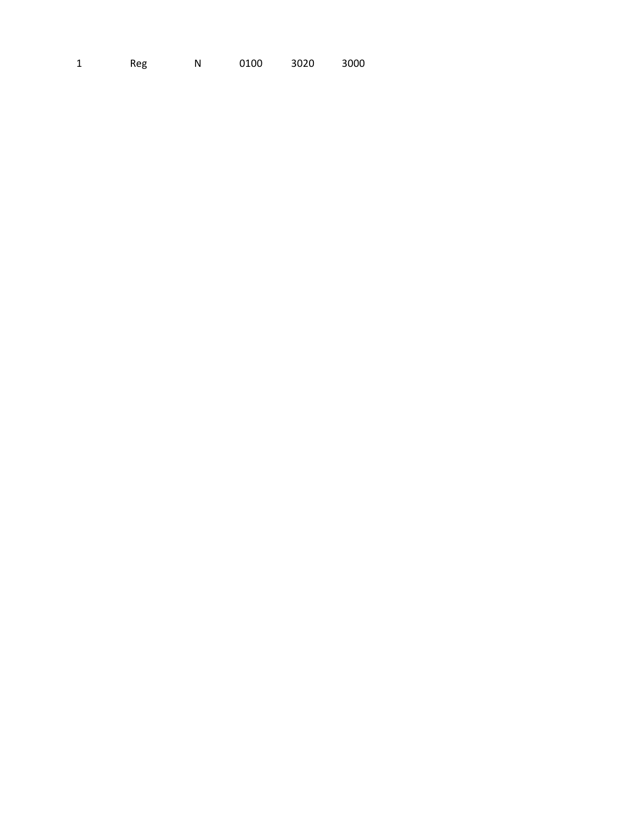3000  $\mathbf{1}$ Reg  ${\sf N}$ 0100 3020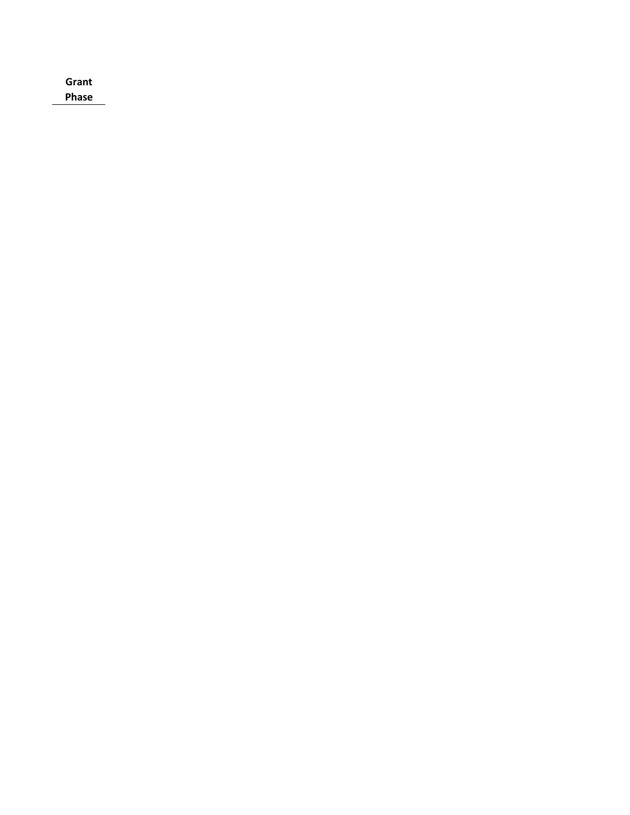| Grant        |  |  |  |
|--------------|--|--|--|
| <b>Phase</b> |  |  |  |